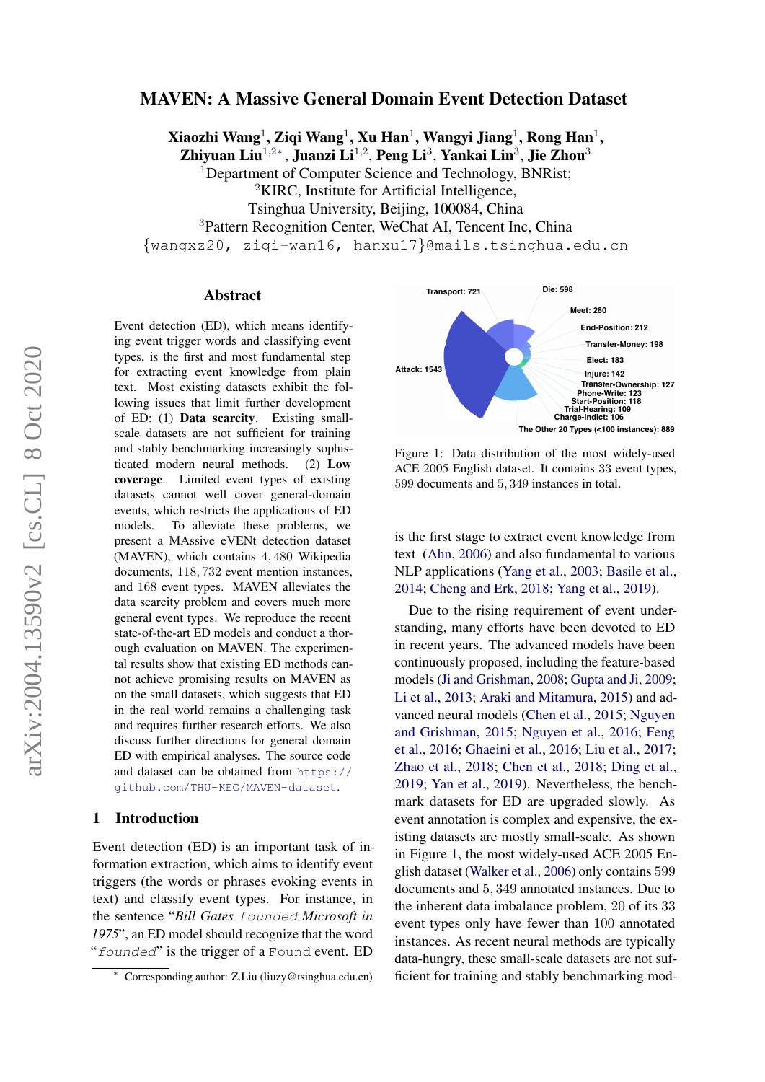# MAVEN: A Massive General Domain Event Detection Dataset

Xiaozhi Wang $^1$ , Ziqi Wang $^1$ , Xu Han $^1$ , Wangyi Jiang $^1$ , Rong Han $^1$ ,

Zhiyuan Liu $^{1,2\ast},$  Juanzi Li $^{1,2},$  Peng Li $^3,$  Yankai Lin $^3,$  Jie Zhou $^3$ 

<sup>1</sup>Department of Computer Science and Technology, BNRist;

<sup>2</sup>KIRC, Institute for Artificial Intelligence,

Tsinghua University, Beijing, 100084, China

<sup>3</sup>Pattern Recognition Center, WeChat AI, Tencent Inc, China

{wangxz20, ziqi-wan16, hanxu17}@mails.tsinghua.edu.cn

#### Abstract

Event detection (ED), which means identifying event trigger words and classifying event types, is the first and most fundamental step for extracting event knowledge from plain text. Most existing datasets exhibit the following issues that limit further development of ED: (1) Data scarcity. Existing smallscale datasets are not sufficient for training and stably benchmarking increasingly sophisticated modern neural methods. (2) Low coverage. Limited event types of existing datasets cannot well cover general-domain events, which restricts the applications of ED models. To alleviate these problems, we present a MAssive eVENt detection dataset (MAVEN), which contains 4, 480 Wikipedia documents, 118, 732 event mention instances, and 168 event types. MAVEN alleviates the data scarcity problem and covers much more general event types. We reproduce the recent state-of-the-art ED models and conduct a thorough evaluation on MAVEN. The experimental results show that existing ED methods cannot achieve promising results on MAVEN as on the small datasets, which suggests that ED in the real world remains a challenging task and requires further research efforts. We also discuss further directions for general domain ED with empirical analyses. The source code and dataset can be obtained from [https://](https://github.com/THU-KEG/MAVEN-dataset) [github.com/THU-KEG/MAVEN-dataset](https://github.com/THU-KEG/MAVEN-dataset).

# 1 Introduction

Event detection (ED) is an important task of information extraction, which aims to identify event triggers (the words or phrases evoking events in text) and classify event types. For instance, in the sentence "*Bill Gates* founded *Microsoft in 1975*", an ED model should recognize that the word "founded" is the trigger of a Found event. ED

<span id="page-0-0"></span>

Figure 1: Data distribution of the most widely-used ACE 2005 English dataset. It contains 33 event types, 599 documents and 5, 349 instances in total.

is the first stage to extract event knowledge from text [\(Ahn,](#page-8-0) [2006\)](#page-8-0) and also fundamental to various NLP applications [\(Yang et al.,](#page-11-0) [2003;](#page-11-0) [Basile et al.,](#page-8-1) [2014;](#page-8-1) [Cheng and Erk,](#page-9-0) [2018;](#page-9-0) [Yang et al.,](#page-11-1) [2019\)](#page-11-1).

Due to the rising requirement of event understanding, many efforts have been devoted to ED in recent years. The advanced models have been continuously proposed, including the feature-based models [\(Ji and Grishman,](#page-10-0) [2008;](#page-10-0) [Gupta and Ji,](#page-9-1) [2009;](#page-9-1) [Li et al.,](#page-10-1) [2013;](#page-10-1) [Araki and Mitamura,](#page-8-2) [2015\)](#page-8-2) and advanced neural models [\(Chen et al.,](#page-9-2) [2015;](#page-9-2) [Nguyen](#page-10-2) [and Grishman,](#page-10-2) [2015;](#page-10-2) [Nguyen et al.,](#page-10-3) [2016;](#page-10-3) [Feng](#page-9-3) [et al.,](#page-9-3) [2016;](#page-9-3) [Ghaeini et al.,](#page-9-4) [2016;](#page-9-4) [Liu et al.,](#page-10-4) [2017;](#page-10-4) [Zhao et al.,](#page-11-2) [2018;](#page-11-2) [Chen et al.,](#page-9-5) [2018;](#page-9-5) [Ding et al.,](#page-9-6) [2019;](#page-9-6) [Yan et al.,](#page-11-3) [2019\)](#page-11-3). Nevertheless, the benchmark datasets for ED are upgraded slowly. As event annotation is complex and expensive, the existing datasets are mostly small-scale. As shown in Figure [1,](#page-0-0) the most widely-used ACE 2005 English dataset [\(Walker et al.,](#page-11-4) [2006\)](#page-11-4) only contains 599 documents and 5, 349 annotated instances. Due to the inherent data imbalance problem, 20 of its 33 event types only have fewer than 100 annotated instances. As recent neural methods are typically data-hungry, these small-scale datasets are not sufficient for training and stably benchmarking mod-

<sup>∗</sup> Corresponding author: Z.Liu (liuzy@tsinghua.edu.cn)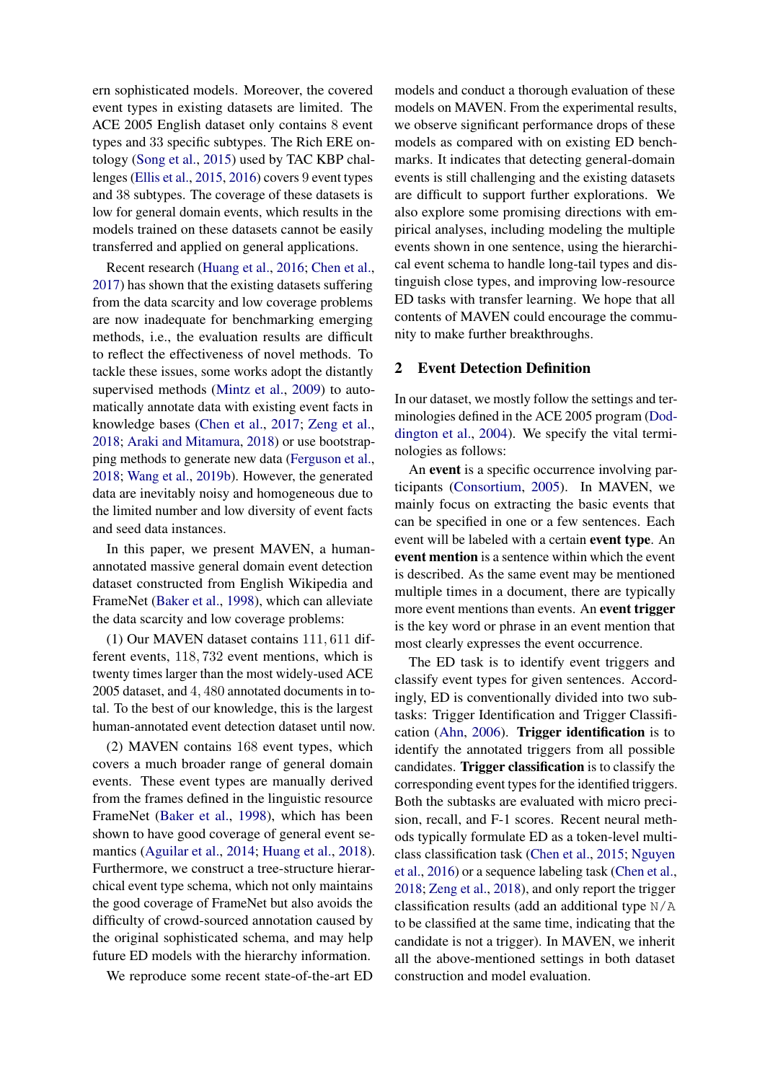ern sophisticated models. Moreover, the covered event types in existing datasets are limited. The ACE 2005 English dataset only contains 8 event types and 33 specific subtypes. The Rich ERE ontology [\(Song et al.,](#page-10-5) [2015\)](#page-10-5) used by TAC KBP challenges [\(Ellis et al.,](#page-9-7) [2015,](#page-9-7) [2016\)](#page-9-8) covers 9 event types and 38 subtypes. The coverage of these datasets is low for general domain events, which results in the models trained on these datasets cannot be easily transferred and applied on general applications.

Recent research [\(Huang et al.,](#page-9-9) [2016;](#page-9-9) [Chen et al.,](#page-9-10) [2017\)](#page-9-10) has shown that the existing datasets suffering from the data scarcity and low coverage problems are now inadequate for benchmarking emerging methods, i.e., the evaluation results are difficult to reflect the effectiveness of novel methods. To tackle these issues, some works adopt the distantly supervised methods [\(Mintz et al.,](#page-10-6) [2009\)](#page-10-6) to automatically annotate data with existing event facts in knowledge bases [\(Chen et al.,](#page-9-10) [2017;](#page-9-10) [Zeng et al.,](#page-11-5) [2018;](#page-11-5) [Araki and Mitamura,](#page-8-3) [2018\)](#page-8-3) or use bootstrapping methods to generate new data [\(Ferguson et al.,](#page-9-11) [2018;](#page-9-11) [Wang et al.,](#page-11-6) [2019b\)](#page-11-6). However, the generated data are inevitably noisy and homogeneous due to the limited number and low diversity of event facts and seed data instances.

In this paper, we present MAVEN, a humanannotated massive general domain event detection dataset constructed from English Wikipedia and FrameNet [\(Baker et al.,](#page-8-4) [1998\)](#page-8-4), which can alleviate the data scarcity and low coverage problems:

(1) Our MAVEN dataset contains 111, 611 different events, 118, 732 event mentions, which is twenty times larger than the most widely-used ACE 2005 dataset, and 4, 480 annotated documents in total. To the best of our knowledge, this is the largest human-annotated event detection dataset until now.

(2) MAVEN contains 168 event types, which covers a much broader range of general domain events. These event types are manually derived from the frames defined in the linguistic resource FrameNet [\(Baker et al.,](#page-8-4) [1998\)](#page-8-4), which has been shown to have good coverage of general event semantics [\(Aguilar et al.,](#page-8-5) [2014;](#page-8-5) [Huang et al.,](#page-9-12) [2018\)](#page-9-12). Furthermore, we construct a tree-structure hierarchical event type schema, which not only maintains the good coverage of FrameNet but also avoids the difficulty of crowd-sourced annotation caused by the original sophisticated schema, and may help future ED models with the hierarchy information.

We reproduce some recent state-of-the-art ED

models and conduct a thorough evaluation of these models on MAVEN. From the experimental results, we observe significant performance drops of these models as compared with on existing ED benchmarks. It indicates that detecting general-domain events is still challenging and the existing datasets are difficult to support further explorations. We also explore some promising directions with empirical analyses, including modeling the multiple events shown in one sentence, using the hierarchical event schema to handle long-tail types and distinguish close types, and improving low-resource ED tasks with transfer learning. We hope that all contents of MAVEN could encourage the community to make further breakthroughs.

#### <span id="page-1-0"></span>2 Event Detection Definition

In our dataset, we mostly follow the settings and terminologies defined in the ACE 2005 program [\(Dod](#page-9-13)[dington et al.,](#page-9-13) [2004\)](#page-9-13). We specify the vital terminologies as follows:

An event is a specific occurrence involving participants [\(Consortium,](#page-9-14) [2005\)](#page-9-14). In MAVEN, we mainly focus on extracting the basic events that can be specified in one or a few sentences. Each event will be labeled with a certain event type. An event mention is a sentence within which the event is described. As the same event may be mentioned multiple times in a document, there are typically more event mentions than events. An event trigger is the key word or phrase in an event mention that most clearly expresses the event occurrence.

The ED task is to identify event triggers and classify event types for given sentences. Accordingly, ED is conventionally divided into two subtasks: Trigger Identification and Trigger Classification [\(Ahn,](#page-8-0) [2006\)](#page-8-0). Trigger identification is to identify the annotated triggers from all possible candidates. Trigger classification is to classify the corresponding event types for the identified triggers. Both the subtasks are evaluated with micro precision, recall, and F-1 scores. Recent neural methods typically formulate ED as a token-level multiclass classification task [\(Chen et al.,](#page-9-2) [2015;](#page-9-2) [Nguyen](#page-10-3) [et al.,](#page-10-3) [2016\)](#page-10-3) or a sequence labeling task [\(Chen et al.,](#page-9-5) [2018;](#page-9-5) [Zeng et al.,](#page-11-5) [2018\)](#page-11-5), and only report the trigger classification results (add an additional type N/A to be classified at the same time, indicating that the candidate is not a trigger). In MAVEN, we inherit all the above-mentioned settings in both dataset construction and model evaluation.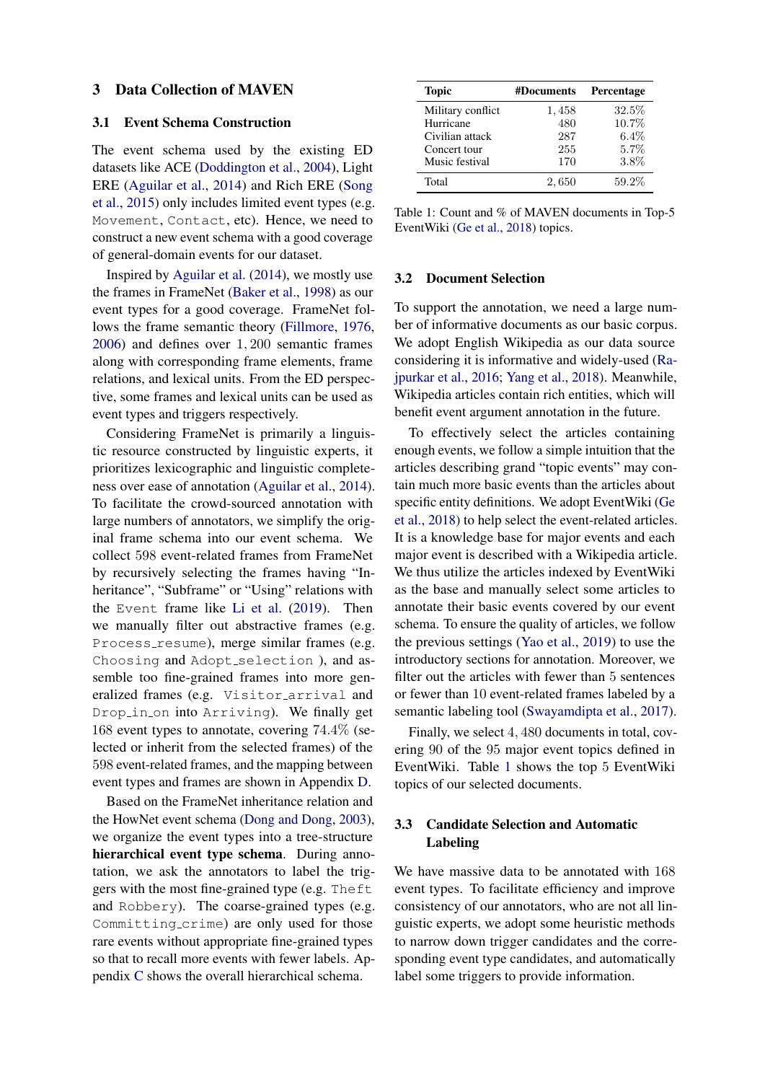#### 3 Data Collection of MAVEN

### 3.1 Event Schema Construction

The event schema used by the existing ED datasets like ACE [\(Doddington et al.,](#page-9-13) [2004\)](#page-9-13), Light ERE [\(Aguilar et al.,](#page-8-5) [2014\)](#page-8-5) and Rich ERE [\(Song](#page-10-5) [et al.,](#page-10-5) [2015\)](#page-10-5) only includes limited event types (e.g. Movement, Contact, etc). Hence, we need to construct a new event schema with a good coverage of general-domain events for our dataset.

Inspired by [Aguilar et al.](#page-8-5) [\(2014\)](#page-8-5), we mostly use the frames in FrameNet [\(Baker et al.,](#page-8-4) [1998\)](#page-8-4) as our event types for a good coverage. FrameNet follows the frame semantic theory [\(Fillmore,](#page-9-15) [1976,](#page-9-15) [2006\)](#page-9-16) and defines over 1, 200 semantic frames along with corresponding frame elements, frame relations, and lexical units. From the ED perspective, some frames and lexical units can be used as event types and triggers respectively.

Considering FrameNet is primarily a linguistic resource constructed by linguistic experts, it prioritizes lexicographic and linguistic completeness over ease of annotation [\(Aguilar et al.,](#page-8-5) [2014\)](#page-8-5). To facilitate the crowd-sourced annotation with large numbers of annotators, we simplify the original frame schema into our event schema. We collect 598 event-related frames from FrameNet by recursively selecting the frames having "Inheritance", "Subframe" or "Using" relations with the Event frame like [Li et al.](#page-10-7) [\(2019\)](#page-10-7). Then we manually filter out abstractive frames (e.g. Process resume), merge similar frames (e.g. Choosing and Adopt\_selection ), and assemble too fine-grained frames into more generalized frames (e.g. Visitor arrival and Drop\_in\_on into Arriving). We finally get 168 event types to annotate, covering 74.4% (selected or inherit from the selected frames) of the 598 event-related frames, and the mapping between event types and frames are shown in Appendix [D.](#page-13-0)

Based on the FrameNet inheritance relation and the HowNet event schema [\(Dong and Dong,](#page-9-17) [2003\)](#page-9-17), we organize the event types into a tree-structure hierarchical event type schema. During annotation, we ask the annotators to label the triggers with the most fine-grained type (e.g. Theft and Robbery). The coarse-grained types (e.g. Committing crime) are only used for those rare events without appropriate fine-grained types so that to recall more events with fewer labels. Appendix [C](#page-12-0) shows the overall hierarchical schema.

<span id="page-2-0"></span>

| Topic             | #Documents | Percentage |
|-------------------|------------|------------|
| Military conflict | 1,458      | $32.5\%$   |
| Hurricane         | 480        | 10.7%      |
| Civilian attack   | 287        | 6.4%       |
| Concert tour      | 255        | 5.7%       |
| Music festival    | 170        | 3.8%       |
| Total             | 2,650      | $59.2\%$   |

Table 1: Count and % of MAVEN documents in Top-5 EventWiki [\(Ge et al.,](#page-9-18) [2018\)](#page-9-18) topics.

#### 3.2 Document Selection

To support the annotation, we need a large number of informative documents as our basic corpus. We adopt English Wikipedia as our data source considering it is informative and widely-used [\(Ra](#page-10-8)[jpurkar et al.,](#page-10-8) [2016;](#page-10-8) [Yang et al.,](#page-11-7) [2018\)](#page-11-7). Meanwhile, Wikipedia articles contain rich entities, which will benefit event argument annotation in the future.

To effectively select the articles containing enough events, we follow a simple intuition that the articles describing grand "topic events" may contain much more basic events than the articles about specific entity definitions. We adopt EventWiki [\(Ge](#page-9-18) [et al.,](#page-9-18) [2018\)](#page-9-18) to help select the event-related articles. It is a knowledge base for major events and each major event is described with a Wikipedia article. We thus utilize the articles indexed by EventWiki as the base and manually select some articles to annotate their basic events covered by our event schema. To ensure the quality of articles, we follow the previous settings [\(Yao et al.,](#page-11-8) [2019\)](#page-11-8) to use the introductory sections for annotation. Moreover, we filter out the articles with fewer than 5 sentences or fewer than 10 event-related frames labeled by a semantic labeling tool [\(Swayamdipta et al.,](#page-10-9) [2017\)](#page-10-9).

Finally, we select 4, 480 documents in total, covering 90 of the 95 major event topics defined in EventWiki. Table [1](#page-2-0) shows the top 5 EventWiki topics of our selected documents.

# <span id="page-2-1"></span>3.3 Candidate Selection and Automatic Labeling

We have massive data to be annotated with 168 event types. To facilitate efficiency and improve consistency of our annotators, who are not all linguistic experts, we adopt some heuristic methods to narrow down trigger candidates and the corresponding event type candidates, and automatically label some triggers to provide information.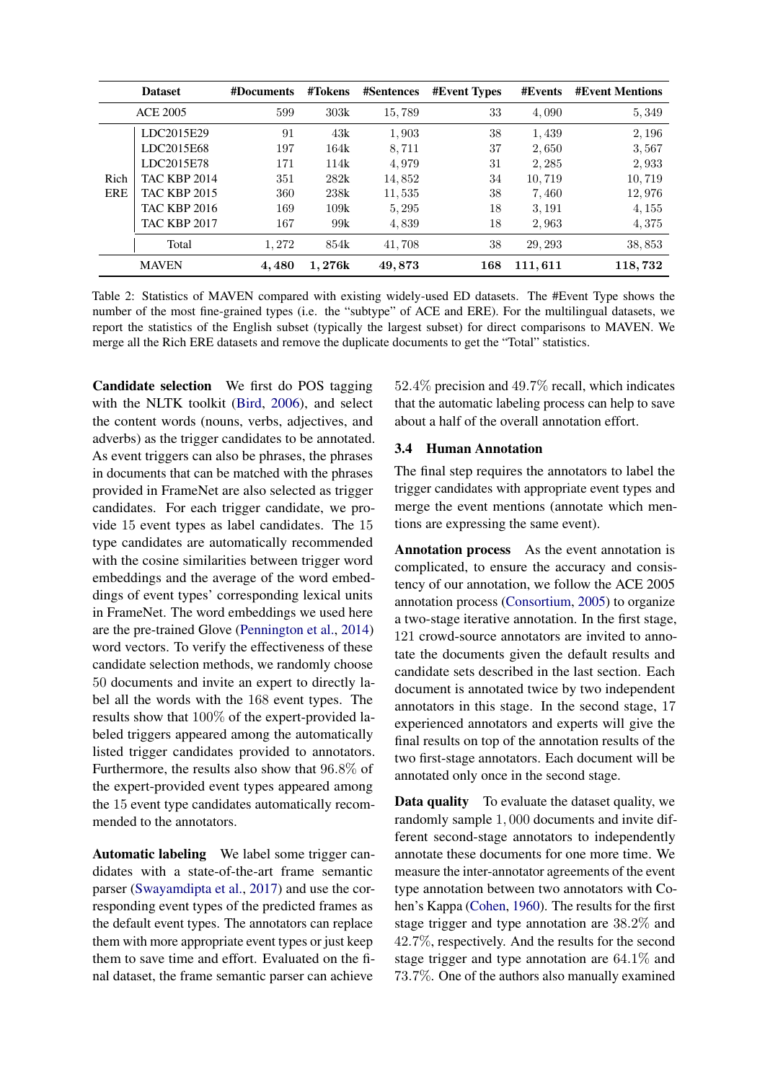<span id="page-3-0"></span>

|            | <b>Dataset</b>      | #Documents | #Tokens | <b>#Sentences</b> | <b>#Event Types</b> | #Events | <b>#Event Mentions</b> |
|------------|---------------------|------------|---------|-------------------|---------------------|---------|------------------------|
|            | <b>ACE 2005</b>     | 599        | 303k    | 15,789            | 33                  | 4,090   | 5,349                  |
|            | LDC2015E29          | 91         | 43k     | 1,903             | 38                  | 1,439   | 2, 196                 |
|            | LDC2015E68          | 197        | 164k    | 8,711             | 37                  | 2,650   | 3,567                  |
|            | LDC2015E78          | 171        | 114k    | 4,979             | 31                  | 2, 285  | 2,933                  |
| Rich       | <b>TAC KBP 2014</b> | 351        | 282k    | 14,852            | 34                  | 10,719  | 10,719                 |
| <b>ERE</b> | <b>TAC KBP 2015</b> | 360        | 238k    | 11,535            | 38                  | 7,460   | 12,976                 |
|            | <b>TAC KBP 2016</b> | 169        | 109k    | 5, 295            | 18                  | 3, 191  | 4, 155                 |
|            | <b>TAC KBP 2017</b> | 167        | 99k     | 4,839             | 18                  | 2,963   | 4,375                  |
|            | Total               | 1,272      | 854k    | 41,708            | 38                  | 29, 293 | 38,853                 |
|            | <b>MAVEN</b>        | 4,480      | 1.276k  | 49,873            | 168                 | 111,611 | 118,732                |

Table 2: Statistics of MAVEN compared with existing widely-used ED datasets. The #Event Type shows the number of the most fine-grained types (i.e. the "subtype" of ACE and ERE). For the multilingual datasets, we report the statistics of the English subset (typically the largest subset) for direct comparisons to MAVEN. We merge all the Rich ERE datasets and remove the duplicate documents to get the "Total" statistics.

Candidate selection We first do POS tagging with the NLTK toolkit [\(Bird,](#page-8-6) [2006\)](#page-8-6), and select the content words (nouns, verbs, adjectives, and adverbs) as the trigger candidates to be annotated. As event triggers can also be phrases, the phrases in documents that can be matched with the phrases provided in FrameNet are also selected as trigger candidates. For each trigger candidate, we provide 15 event types as label candidates. The 15 type candidates are automatically recommended with the cosine similarities between trigger word embeddings and the average of the word embeddings of event types' corresponding lexical units in FrameNet. The word embeddings we used here are the pre-trained Glove [\(Pennington et al.,](#page-10-10) [2014\)](#page-10-10) word vectors. To verify the effectiveness of these candidate selection methods, we randomly choose 50 documents and invite an expert to directly label all the words with the 168 event types. The results show that 100% of the expert-provided labeled triggers appeared among the automatically listed trigger candidates provided to annotators. Furthermore, the results also show that 96.8% of the expert-provided event types appeared among the 15 event type candidates automatically recommended to the annotators.

Automatic labeling We label some trigger candidates with a state-of-the-art frame semantic parser [\(Swayamdipta et al.,](#page-10-9) [2017\)](#page-10-9) and use the corresponding event types of the predicted frames as the default event types. The annotators can replace them with more appropriate event types or just keep them to save time and effort. Evaluated on the final dataset, the frame semantic parser can achieve

52.4% precision and 49.7% recall, which indicates that the automatic labeling process can help to save about a half of the overall annotation effort.

# 3.4 Human Annotation

The final step requires the annotators to label the trigger candidates with appropriate event types and merge the event mentions (annotate which mentions are expressing the same event).

Annotation process As the event annotation is complicated, to ensure the accuracy and consistency of our annotation, we follow the ACE 2005 annotation process [\(Consortium,](#page-9-14) [2005\)](#page-9-14) to organize a two-stage iterative annotation. In the first stage, 121 crowd-source annotators are invited to annotate the documents given the default results and candidate sets described in the last section. Each document is annotated twice by two independent annotators in this stage. In the second stage, 17 experienced annotators and experts will give the final results on top of the annotation results of the two first-stage annotators. Each document will be annotated only once in the second stage.

Data quality To evaluate the dataset quality, we randomly sample 1, 000 documents and invite different second-stage annotators to independently annotate these documents for one more time. We measure the inter-annotator agreements of the event type annotation between two annotators with Cohen's Kappa [\(Cohen,](#page-9-19) [1960\)](#page-9-19). The results for the first stage trigger and type annotation are 38.2% and 42.7%, respectively. And the results for the second stage trigger and type annotation are 64.1% and 73.7%. One of the authors also manually examined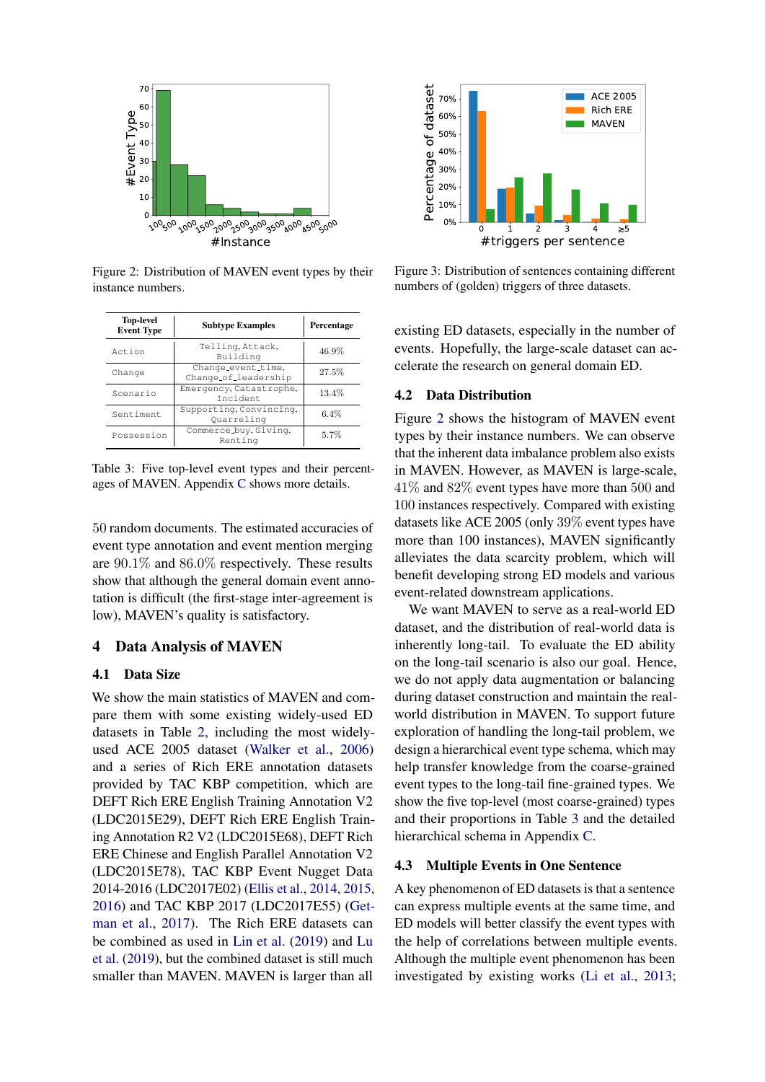<span id="page-4-0"></span>

Figure 2: Distribution of MAVEN event types by their instance numbers.

<span id="page-4-1"></span>

| <b>Top-level</b><br><b>Event Type</b> | <b>Subtype Examples</b>                    | Percentage |
|---------------------------------------|--------------------------------------------|------------|
| Action                                | Telling, Attack,<br>Building               | 46.9%      |
| Change                                | Change_event_time,<br>Change_of_leadership | 27.5%      |
| Scenario                              | Emergency, Catastrophe,<br><b>Tncident</b> | 13.4%      |
| Sentiment                             | Supporting, Convincing,<br>Ouarreling      | 6.4%       |
| Possession                            | Commerce_buy, Giving,<br>Renting           | 5.7%       |

Table 3: Five top-level event types and their percentages of MAVEN. Appendix [C](#page-12-0) shows more details.

50 random documents. The estimated accuracies of event type annotation and event mention merging are 90.1% and 86.0% respectively. These results show that although the general domain event annotation is difficult (the first-stage inter-agreement is low), MAVEN's quality is satisfactory.

# 4 Data Analysis of MAVEN

# 4.1 Data Size

We show the main statistics of MAVEN and compare them with some existing widely-used ED datasets in Table [2,](#page-3-0) including the most widelyused ACE 2005 dataset [\(Walker et al.,](#page-11-4) [2006\)](#page-11-4) and a series of Rich ERE annotation datasets provided by TAC KBP competition, which are DEFT Rich ERE English Training Annotation V2 (LDC2015E29), DEFT Rich ERE English Training Annotation R2 V2 (LDC2015E68), DEFT Rich ERE Chinese and English Parallel Annotation V2 (LDC2015E78), TAC KBP Event Nugget Data 2014-2016 (LDC2017E02) [\(Ellis et al.,](#page-9-20) [2014,](#page-9-20) [2015,](#page-9-7) [2016\)](#page-9-8) and TAC KBP 2017 (LDC2017E55) [\(Get](#page-9-21)[man et al.,](#page-9-21) [2017\)](#page-9-21). The Rich ERE datasets can be combined as used in [Lin et al.](#page-10-11) [\(2019\)](#page-10-11) and [Lu](#page-10-12) [et al.](#page-10-12) [\(2019\)](#page-10-12), but the combined dataset is still much smaller than MAVEN. MAVEN is larger than all

<span id="page-4-2"></span>

Figure 3: Distribution of sentences containing different numbers of (golden) triggers of three datasets.

existing ED datasets, especially in the number of events. Hopefully, the large-scale dataset can accelerate the research on general domain ED.

#### 4.2 Data Distribution

Figure [2](#page-4-0) shows the histogram of MAVEN event types by their instance numbers. We can observe that the inherent data imbalance problem also exists in MAVEN. However, as MAVEN is large-scale, 41% and 82% event types have more than 500 and 100 instances respectively. Compared with existing datasets like ACE 2005 (only 39% event types have more than 100 instances), MAVEN significantly alleviates the data scarcity problem, which will benefit developing strong ED models and various event-related downstream applications.

We want MAVEN to serve as a real-world ED dataset, and the distribution of real-world data is inherently long-tail. To evaluate the ED ability on the long-tail scenario is also our goal. Hence, we do not apply data augmentation or balancing during dataset construction and maintain the realworld distribution in MAVEN. To support future exploration of handling the long-tail problem, we design a hierarchical event type schema, which may help transfer knowledge from the coarse-grained event types to the long-tail fine-grained types. We show the five top-level (most coarse-grained) types and their proportions in Table [3](#page-4-1) and the detailed hierarchical schema in Appendix [C.](#page-12-0)

# <span id="page-4-3"></span>4.3 Multiple Events in One Sentence

A key phenomenon of ED datasets is that a sentence can express multiple events at the same time, and ED models will better classify the event types with the help of correlations between multiple events. Although the multiple event phenomenon has been investigated by existing works [\(Li et al.,](#page-10-1) [2013;](#page-10-1)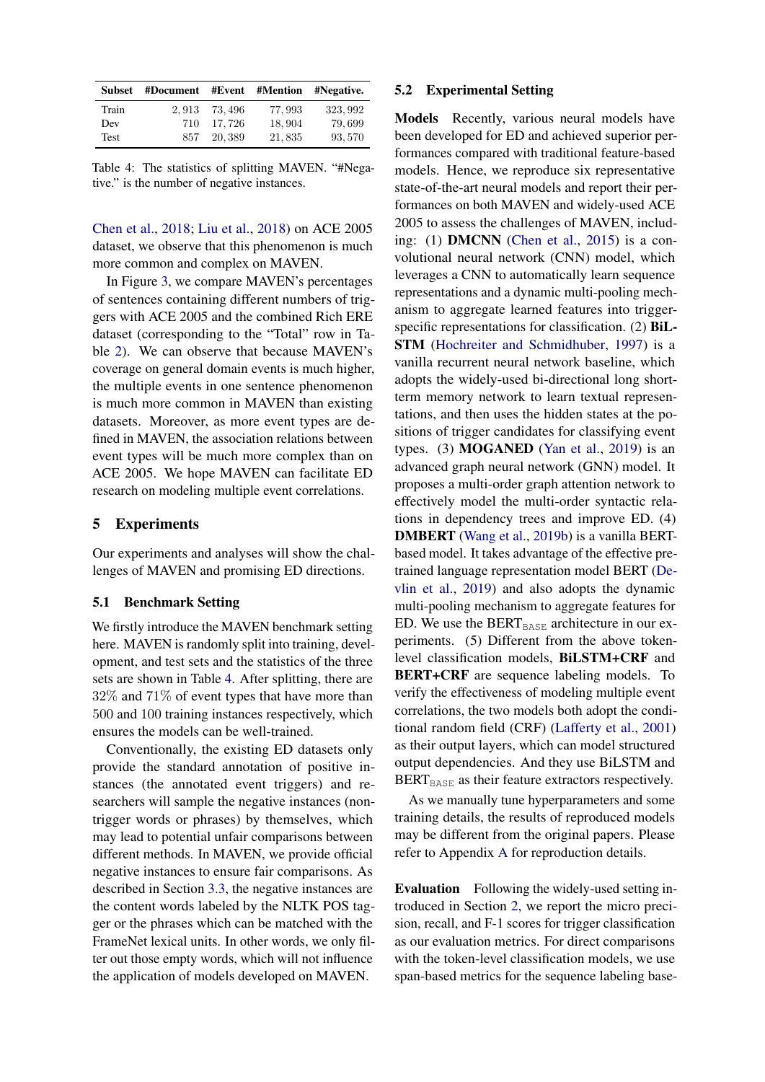<span id="page-5-0"></span>

| Subset | #Document #Event #Mention #Negative. |         |        |          |
|--------|--------------------------------------|---------|--------|----------|
| Train  | 2.913                                | 73.496  | 77.993 | 323, 992 |
| Dev    | 710                                  | 17.726  | 18,904 | 79,699   |
| Test   | 857                                  | 20, 389 | 21,835 | 93,570   |

Table 4: The statistics of splitting MAVEN. "#Negative." is the number of negative instances.

[Chen et al.,](#page-9-5) [2018;](#page-9-5) [Liu et al.,](#page-10-13) [2018\)](#page-10-13) on ACE 2005 dataset, we observe that this phenomenon is much more common and complex on MAVEN.

In Figure [3,](#page-4-2) we compare MAVEN's percentages of sentences containing different numbers of triggers with ACE 2005 and the combined Rich ERE dataset (corresponding to the "Total" row in Table [2\)](#page-3-0). We can observe that because MAVEN's coverage on general domain events is much higher, the multiple events in one sentence phenomenon is much more common in MAVEN than existing datasets. Moreover, as more event types are defined in MAVEN, the association relations between event types will be much more complex than on ACE 2005. We hope MAVEN can facilitate ED research on modeling multiple event correlations.

# 5 Experiments

Our experiments and analyses will show the challenges of MAVEN and promising ED directions.

# 5.1 Benchmark Setting

We firstly introduce the MAVEN benchmark setting here. MAVEN is randomly split into training, development, and test sets and the statistics of the three sets are shown in Table [4.](#page-5-0) After splitting, there are 32% and 71% of event types that have more than 500 and 100 training instances respectively, which ensures the models can be well-trained.

Conventionally, the existing ED datasets only provide the standard annotation of positive instances (the annotated event triggers) and researchers will sample the negative instances (nontrigger words or phrases) by themselves, which may lead to potential unfair comparisons between different methods. In MAVEN, we provide official negative instances to ensure fair comparisons. As described in Section [3.3,](#page-2-1) the negative instances are the content words labeled by the NLTK POS tagger or the phrases which can be matched with the FrameNet lexical units. In other words, we only filter out those empty words, which will not influence the application of models developed on MAVEN.

# 5.2 Experimental Setting

Models Recently, various neural models have been developed for ED and achieved superior performances compared with traditional feature-based models. Hence, we reproduce six representative state-of-the-art neural models and report their performances on both MAVEN and widely-used ACE 2005 to assess the challenges of MAVEN, including: (1) DMCNN [\(Chen et al.,](#page-9-2) [2015\)](#page-9-2) is a convolutional neural network (CNN) model, which leverages a CNN to automatically learn sequence representations and a dynamic multi-pooling mechanism to aggregate learned features into triggerspecific representations for classification. (2) **BiL-**STM [\(Hochreiter and Schmidhuber,](#page-9-22) [1997\)](#page-9-22) is a vanilla recurrent neural network baseline, which adopts the widely-used bi-directional long shortterm memory network to learn textual representations, and then uses the hidden states at the positions of trigger candidates for classifying event types. (3) MOGANED [\(Yan et al.,](#page-11-3) [2019\)](#page-11-3) is an advanced graph neural network (GNN) model. It proposes a multi-order graph attention network to effectively model the multi-order syntactic relations in dependency trees and improve ED. (4) DMBERT [\(Wang et al.,](#page-11-6) [2019b\)](#page-11-6) is a vanilla BERTbased model. It takes advantage of the effective pretrained language representation model BERT [\(De](#page-9-23)[vlin et al.,](#page-9-23) [2019\)](#page-9-23) and also adopts the dynamic multi-pooling mechanism to aggregate features for ED. We use the BERT $_{\text{BASE}}$  architecture in our experiments. (5) Different from the above tokenlevel classification models, BiLSTM+CRF and BERT+CRF are sequence labeling models. To verify the effectiveness of modeling multiple event correlations, the two models both adopt the conditional random field (CRF) [\(Lafferty et al.,](#page-10-14) [2001\)](#page-10-14) as their output layers, which can model structured output dependencies. And they use BiLSTM and BERT $_{\text{BASE}}$  as their feature extractors respectively.

As we manually tune hyperparameters and some training details, the results of reproduced models may be different from the original papers. Please refer to Appendix [A](#page-11-9) for reproduction details.

Evaluation Following the widely-used setting introduced in Section [2,](#page-1-0) we report the micro precision, recall, and F-1 scores for trigger classification as our evaluation metrics. For direct comparisons with the token-level classification models, we use span-based metrics for the sequence labeling base-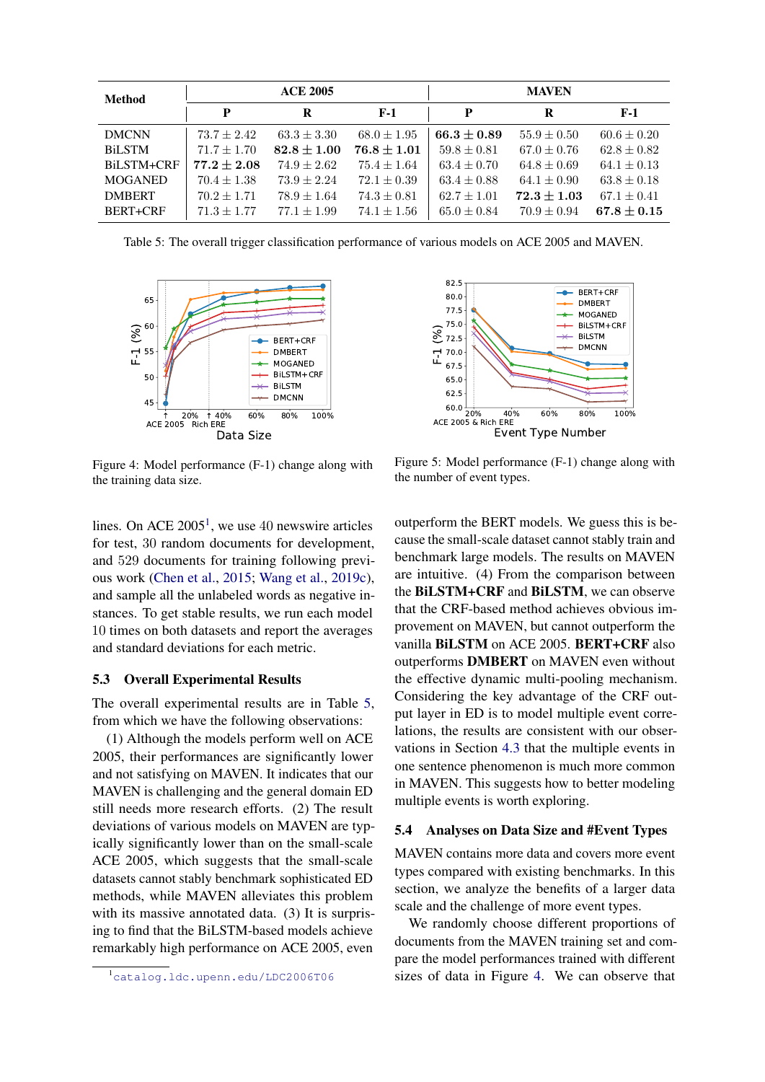<span id="page-6-1"></span>

| <b>Method</b>  | <b>ACE 2005</b> |                 |                 | <b>MAVEN</b>    |                 |                 |
|----------------|-----------------|-----------------|-----------------|-----------------|-----------------|-----------------|
|                | P               | R               | $F-1$           | P               | R               | $F-1$           |
| <b>DMCNN</b>   | $73.7 + 2.42$   | $63.3 \pm 3.30$ | $68.0 \pm 1.95$ | $66.3 + 0.89$   | $55.9 \pm 0.50$ | $60.6 \pm 0.20$ |
| <b>BiLSTM</b>  | $71.7 + 1.70$   | $82.8 \pm 1.00$ | $76.8 + 1.01$   | $59.8 \pm 0.81$ | $67.0 \pm 0.76$ | $62.8 + 0.82$   |
| BiLSTM+CRF     | $77.2 \pm 2.08$ | $74.9 + 2.62$   | $75.4 \pm 1.64$ | $63.4 \pm 0.70$ | $64.8 \pm 0.69$ | $64.1 \pm 0.13$ |
| <b>MOGANED</b> | $70.4 \pm 1.38$ | $73.9 + 2.24$   | $72.1 \pm 0.39$ | $63.4 \pm 0.88$ | $64.1 \pm 0.90$ | $63.8 \pm 0.18$ |
| <b>DMBERT</b>  | $70.2 \pm 1.71$ | $78.9 \pm 1.64$ | $74.3 \pm 0.81$ | $62.7 \pm 1.01$ | $72.3 + 1.03$   | $67.1 \pm 0.41$ |
| BERT+CRF       | $71.3 + 1.77$   | $77.1 + 1.99$   | $74.1 + 1.56$   | $65.0 \pm 0.84$ | $70.9 \pm 0.94$ | $67.8 + 0.15$   |

Table 5: The overall trigger classification performance of various models on ACE 2005 and MAVEN.

<span id="page-6-2"></span>

Figure 4: Model performance (F-1) change along with the training data size.

lines. On ACE  $2005<sup>1</sup>$  $2005<sup>1</sup>$  $2005<sup>1</sup>$ , we use 40 newswire articles for test, 30 random documents for development, and 529 documents for training following previous work [\(Chen et al.,](#page-9-2) [2015;](#page-9-2) [Wang et al.,](#page-11-10) [2019c\)](#page-11-10), and sample all the unlabeled words as negative instances. To get stable results, we run each model 10 times on both datasets and report the averages and standard deviations for each metric.

#### <span id="page-6-4"></span>5.3 Overall Experimental Results

The overall experimental results are in Table [5,](#page-6-1) from which we have the following observations:

(1) Although the models perform well on ACE 2005, their performances are significantly lower and not satisfying on MAVEN. It indicates that our MAVEN is challenging and the general domain ED still needs more research efforts. (2) The result deviations of various models on MAVEN are typically significantly lower than on the small-scale ACE 2005, which suggests that the small-scale datasets cannot stably benchmark sophisticated ED methods, while MAVEN alleviates this problem with its massive annotated data. (3) It is surprising to find that the BiLSTM-based models achieve remarkably high performance on ACE 2005, even

<span id="page-6-3"></span>

Figure 5: Model performance (F-1) change along with the number of event types.

outperform the BERT models. We guess this is because the small-scale dataset cannot stably train and benchmark large models. The results on MAVEN are intuitive. (4) From the comparison between the BiLSTM+CRF and BiLSTM, we can observe that the CRF-based method achieves obvious improvement on MAVEN, but cannot outperform the vanilla BiLSTM on ACE 2005. BERT+CRF also outperforms DMBERT on MAVEN even without the effective dynamic multi-pooling mechanism. Considering the key advantage of the CRF output layer in ED is to model multiple event correlations, the results are consistent with our observations in Section [4.3](#page-4-3) that the multiple events in one sentence phenomenon is much more common in MAVEN. This suggests how to better modeling multiple events is worth exploring.

## 5.4 Analyses on Data Size and #Event Types

MAVEN contains more data and covers more event types compared with existing benchmarks. In this section, we analyze the benefits of a larger data scale and the challenge of more event types.

We randomly choose different proportions of documents from the MAVEN training set and compare the model performances trained with different sizes of data in Figure [4.](#page-6-2) We can observe that

<span id="page-6-0"></span><sup>1</sup><catalog.ldc.upenn.edu/LDC2006T06>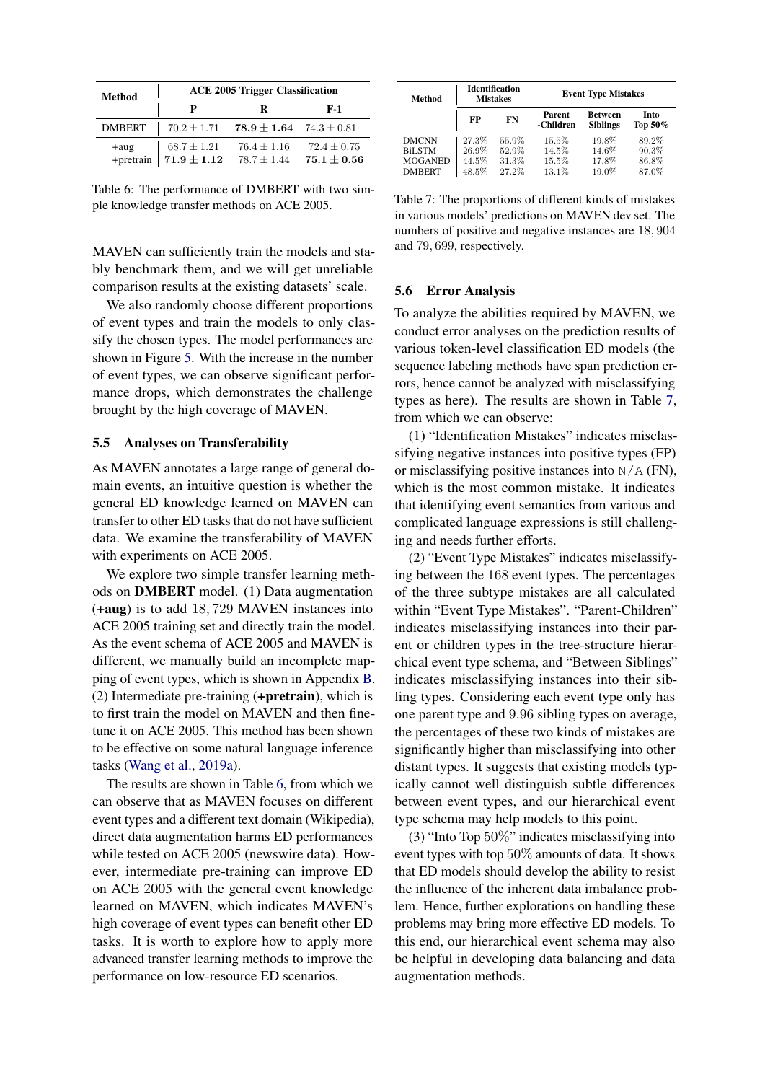<span id="page-7-0"></span>

| Method                   | <b>ACE 2005 Trigger Classification</b> |                                                 |                                    |  |  |
|--------------------------|----------------------------------------|-------------------------------------------------|------------------------------------|--|--|
|                          |                                        | R                                               | $F-1$                              |  |  |
| <b>DMBERT</b>            |                                        | $70.2 \pm 1.71$ $78.9 \pm 1.64$ $74.3 \pm 0.81$ |                                    |  |  |
| $+aug$<br>+pretrain $\ $ | $68.7 \pm 1.21$<br>$71.9 \pm 1.12$     | $76.4 \pm 1.16$<br>$78.7 + 1.44$                | $72.4 \pm 0.75$<br>$75.1 \pm 0.56$ |  |  |

Table 6: The performance of DMBERT with two simple knowledge transfer methods on ACE 2005.

MAVEN can sufficiently train the models and stably benchmark them, and we will get unreliable comparison results at the existing datasets' scale.

We also randomly choose different proportions of event types and train the models to only classify the chosen types. The model performances are shown in Figure [5.](#page-6-3) With the increase in the number of event types, we can observe significant performance drops, which demonstrates the challenge brought by the high coverage of MAVEN.

### <span id="page-7-3"></span>5.5 Analyses on Transferability

As MAVEN annotates a large range of general domain events, an intuitive question is whether the general ED knowledge learned on MAVEN can transfer to other ED tasks that do not have sufficient data. We examine the transferability of MAVEN with experiments on ACE 2005.

We explore two simple transfer learning methods on DMBERT model. (1) Data augmentation (+aug) is to add 18, 729 MAVEN instances into ACE 2005 training set and directly train the model. As the event schema of ACE 2005 and MAVEN is different, we manually build an incomplete mapping of event types, which is shown in Appendix [B.](#page-12-1) (2) Intermediate pre-training (+pretrain), which is to first train the model on MAVEN and then finetune it on ACE 2005. This method has been shown to be effective on some natural language inference tasks [\(Wang et al.,](#page-11-11) [2019a\)](#page-11-11).

The results are shown in Table [6,](#page-7-0) from which we can observe that as MAVEN focuses on different event types and a different text domain (Wikipedia), direct data augmentation harms ED performances while tested on ACE 2005 (newswire data). However, intermediate pre-training can improve ED on ACE 2005 with the general event knowledge learned on MAVEN, which indicates MAVEN's high coverage of event types can benefit other ED tasks. It is worth to explore how to apply more advanced transfer learning methods to improve the performance on low-resource ED scenarios.

<span id="page-7-1"></span>

| Method                                                           | <b>Identification</b><br><b>Mistakes</b> |                                  | <b>Event Type Mistakes</b>       |                                   |                                  |
|------------------------------------------------------------------|------------------------------------------|----------------------------------|----------------------------------|-----------------------------------|----------------------------------|
|                                                                  | FP                                       | FN                               | Parent<br>-Children              | <b>Between</b><br><b>Siblings</b> | Into<br>Top 50%                  |
| <b>DMCNN</b><br><b>BiLSTM</b><br><b>MOGANED</b><br><b>DMBERT</b> | 27.3%<br>26.9%<br>44.5%<br>48.5%         | 55.9%<br>52.9%<br>31.3%<br>27.2% | 15.5%<br>14.5%<br>15.5%<br>13.1% | 19.8%<br>14.6%<br>17.8%<br>19.0%  | 89.2%<br>90.3%<br>86.8%<br>87.0% |

Table 7: The proportions of different kinds of mistakes in various models' predictions on MAVEN dev set. The numbers of positive and negative instances are 18, 904 and 79, 699, respectively.

#### <span id="page-7-2"></span>5.6 Error Analysis

To analyze the abilities required by MAVEN, we conduct error analyses on the prediction results of various token-level classification ED models (the sequence labeling methods have span prediction errors, hence cannot be analyzed with misclassifying types as here). The results are shown in Table [7,](#page-7-1) from which we can observe:

(1) "Identification Mistakes" indicates misclassifying negative instances into positive types (FP) or misclassifying positive instances into  $N/A$  (FN), which is the most common mistake. It indicates that identifying event semantics from various and complicated language expressions is still challenging and needs further efforts.

(2) "Event Type Mistakes" indicates misclassifying between the 168 event types. The percentages of the three subtype mistakes are all calculated within "Event Type Mistakes". "Parent-Children" indicates misclassifying instances into their parent or children types in the tree-structure hierarchical event type schema, and "Between Siblings" indicates misclassifying instances into their sibling types. Considering each event type only has one parent type and 9.96 sibling types on average, the percentages of these two kinds of mistakes are significantly higher than misclassifying into other distant types. It suggests that existing models typically cannot well distinguish subtle differences between event types, and our hierarchical event type schema may help models to this point.

(3) "Into Top 50%" indicates misclassifying into event types with top 50% amounts of data. It shows that ED models should develop the ability to resist the influence of the inherent data imbalance problem. Hence, further explorations on handling these problems may bring more effective ED models. To this end, our hierarchical event schema may also be helpful in developing data balancing and data augmentation methods.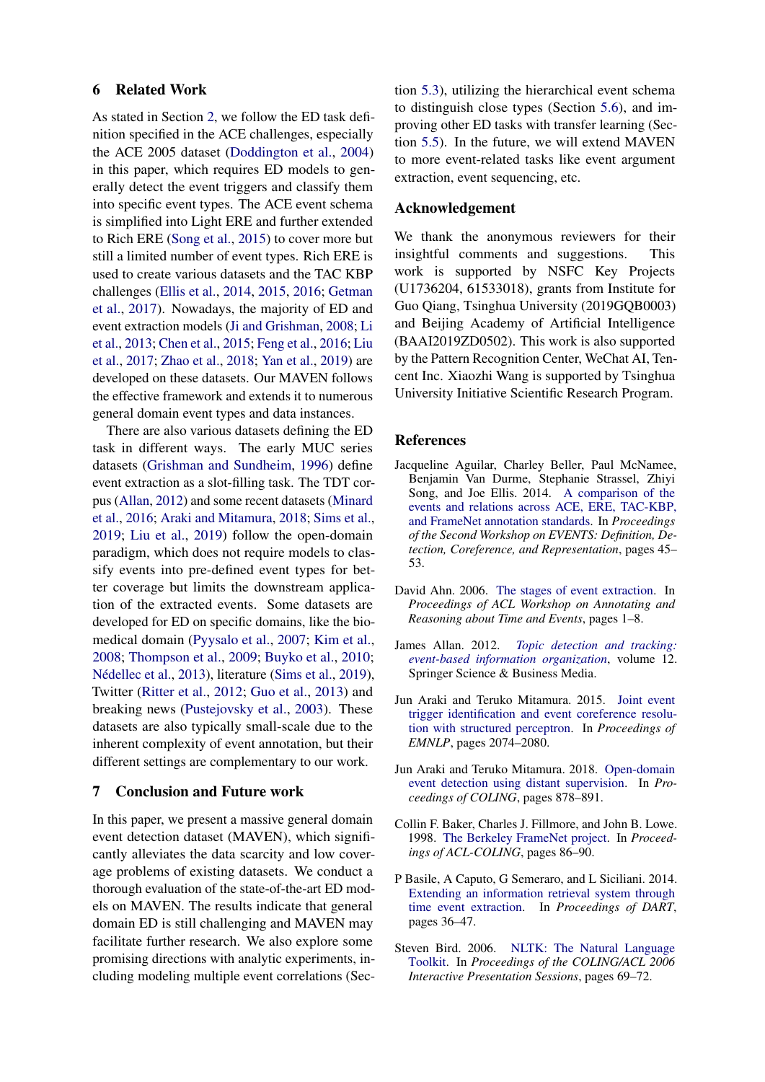# 6 Related Work

As stated in Section [2,](#page-1-0) we follow the ED task definition specified in the ACE challenges, especially the ACE 2005 dataset [\(Doddington et al.,](#page-9-13) [2004\)](#page-9-13) in this paper, which requires ED models to generally detect the event triggers and classify them into specific event types. The ACE event schema is simplified into Light ERE and further extended to Rich ERE [\(Song et al.,](#page-10-5) [2015\)](#page-10-5) to cover more but still a limited number of event types. Rich ERE is used to create various datasets and the TAC KBP challenges [\(Ellis et al.,](#page-9-20) [2014,](#page-9-20) [2015,](#page-9-7) [2016;](#page-9-8) [Getman](#page-9-21) [et al.,](#page-9-21) [2017\)](#page-9-21). Nowadays, the majority of ED and event extraction models [\(Ji and Grishman,](#page-10-0) [2008;](#page-10-0) [Li](#page-10-1) [et al.,](#page-10-1) [2013;](#page-10-1) [Chen et al.,](#page-9-2) [2015;](#page-9-2) [Feng et al.,](#page-9-3) [2016;](#page-9-3) [Liu](#page-10-4) [et al.,](#page-10-4) [2017;](#page-10-4) [Zhao et al.,](#page-11-2) [2018;](#page-11-2) [Yan et al.,](#page-11-3) [2019\)](#page-11-3) are developed on these datasets. Our MAVEN follows the effective framework and extends it to numerous general domain event types and data instances.

There are also various datasets defining the ED task in different ways. The early MUC series datasets [\(Grishman and Sundheim,](#page-9-24) [1996\)](#page-9-24) define event extraction as a slot-filling task. The TDT corpus [\(Allan,](#page-8-7) [2012\)](#page-8-7) and some recent datasets [\(Minard](#page-10-15) [et al.,](#page-10-15) [2016;](#page-10-15) [Araki and Mitamura,](#page-8-3) [2018;](#page-8-3) [Sims et al.,](#page-10-16) [2019;](#page-10-16) [Liu et al.,](#page-10-17) [2019\)](#page-10-17) follow the open-domain paradigm, which does not require models to classify events into pre-defined event types for better coverage but limits the downstream application of the extracted events. Some datasets are developed for ED on specific domains, like the biomedical domain [\(Pyysalo et al.,](#page-10-18) [2007;](#page-10-18) [Kim et al.,](#page-10-19) [2008;](#page-10-19) [Thompson et al.,](#page-10-20) [2009;](#page-10-20) [Buyko et al.,](#page-9-25) [2010;](#page-9-25) Nédellec et al., [2013\)](#page-10-21), literature [\(Sims et al.,](#page-10-16) [2019\)](#page-10-16), Twitter [\(Ritter et al.,](#page-10-22) [2012;](#page-10-22) [Guo et al.,](#page-9-26) [2013\)](#page-9-26) and breaking news [\(Pustejovsky et al.,](#page-10-23) [2003\)](#page-10-23). These datasets are also typically small-scale due to the inherent complexity of event annotation, but their different settings are complementary to our work.

# 7 Conclusion and Future work

In this paper, we present a massive general domain event detection dataset (MAVEN), which significantly alleviates the data scarcity and low coverage problems of existing datasets. We conduct a thorough evaluation of the state-of-the-art ED models on MAVEN. The results indicate that general domain ED is still challenging and MAVEN may facilitate further research. We also explore some promising directions with analytic experiments, including modeling multiple event correlations (Sec-

tion [5.3\)](#page-6-4), utilizing the hierarchical event schema to distinguish close types (Section [5.6\)](#page-7-2), and improving other ED tasks with transfer learning (Section [5.5\)](#page-7-3). In the future, we will extend MAVEN to more event-related tasks like event argument extraction, event sequencing, etc.

### Acknowledgement

We thank the anonymous reviewers for their insightful comments and suggestions. This work is supported by NSFC Key Projects (U1736204, 61533018), grants from Institute for Guo Qiang, Tsinghua University (2019GQB0003) and Beijing Academy of Artificial Intelligence (BAAI2019ZD0502). This work is also supported by the Pattern Recognition Center, WeChat AI, Tencent Inc. Xiaozhi Wang is supported by Tsinghua University Initiative Scientific Research Program.

#### References

- <span id="page-8-5"></span>Jacqueline Aguilar, Charley Beller, Paul McNamee, Benjamin Van Durme, Stephanie Strassel, Zhiyi Song, and Joe Ellis. 2014. [A comparison of the](https://doi.org/10.3115/v1/W14-2907) [events and relations across ACE, ERE, TAC-KBP,](https://doi.org/10.3115/v1/W14-2907) [and FrameNet annotation standards.](https://doi.org/10.3115/v1/W14-2907) In *Proceedings of the Second Workshop on EVENTS: Definition, Detection, Coreference, and Representation*, pages 45– 53.
- <span id="page-8-0"></span>David Ahn. 2006. [The stages of event extraction.](http://aclweb.org/anthology/W06-0901) In *Proceedings of ACL Workshop on Annotating and Reasoning about Time and Events*, pages 1–8.
- <span id="page-8-7"></span>James Allan. 2012. *[Topic detection and tracking:](https://www.springer.com/gp/book/9780792376644) [event-based information organization](https://www.springer.com/gp/book/9780792376644)*, volume 12. Springer Science & Business Media.
- <span id="page-8-2"></span>Jun Araki and Teruko Mitamura. 2015. [Joint event](https://doi.org/10.18653/v1/D15-1247) [trigger identification and event coreference resolu](https://doi.org/10.18653/v1/D15-1247)[tion with structured perceptron.](https://doi.org/10.18653/v1/D15-1247) In *Proceedings of EMNLP*, pages 2074–2080.
- <span id="page-8-3"></span>Jun Araki and Teruko Mitamura. 2018. [Open-domain](https://www.aclweb.org/anthology/C18-1075) [event detection using distant supervision.](https://www.aclweb.org/anthology/C18-1075) In *Proceedings of COLING*, pages 878–891.
- <span id="page-8-4"></span>Collin F. Baker, Charles J. Fillmore, and John B. Lowe. 1998. [The Berkeley FrameNet project.](https://doi.org/10.3115/980845.980860) In *Proceedings of ACL-COLING*, pages 86–90.
- <span id="page-8-1"></span>P Basile, A Caputo, G Semeraro, and L Siciliani. 2014. [Extending an information retrieval system through](http://ceur-ws.org/Vol-1314/paper-04.pdf) [time event extraction.](http://ceur-ws.org/Vol-1314/paper-04.pdf) In *Proceedings of DART*, pages 36–47.
- <span id="page-8-6"></span>Steven Bird. 2006. [NLTK: The Natural Language](https://doi.org/10.3115/1225403.1225421) [Toolkit.](https://doi.org/10.3115/1225403.1225421) In *Proceedings of the COLING/ACL 2006 Interactive Presentation Sessions*, pages 69–72.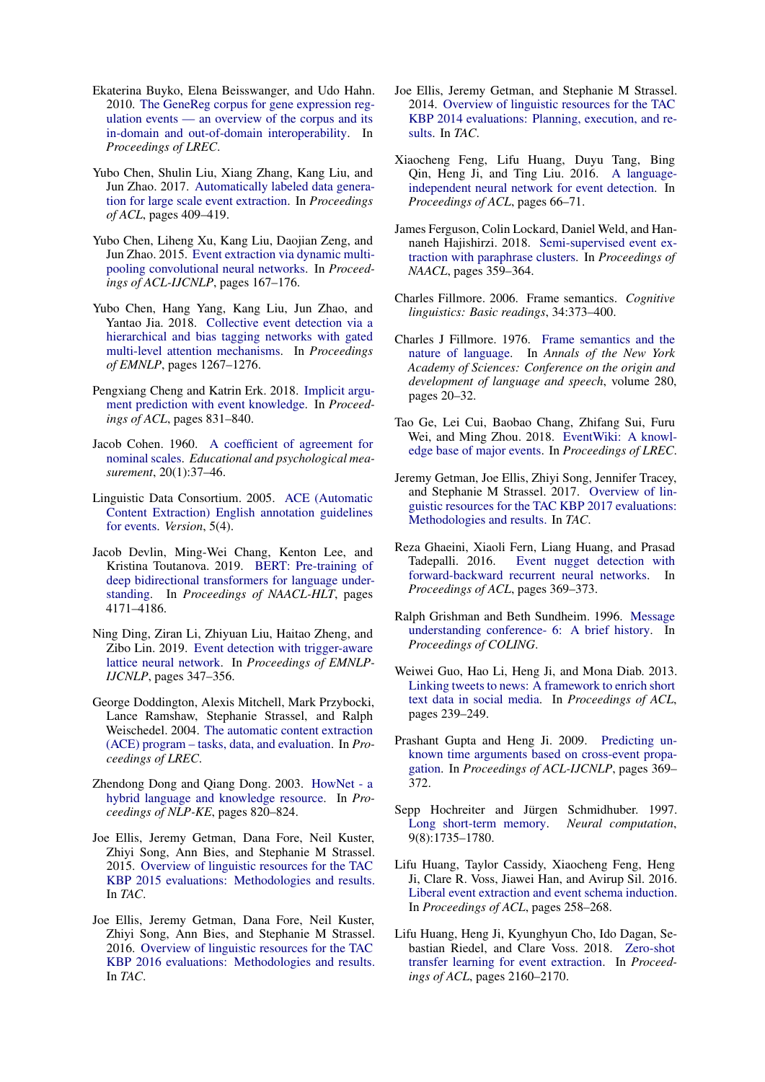- <span id="page-9-25"></span>Ekaterina Buyko, Elena Beisswanger, and Udo Hahn. 2010. [The GeneReg corpus for gene expression reg](http://www.lrec-conf.org/proceedings/lrec2010/pdf/407_Paper.pdf)[ulation events — an overview of the corpus and its](http://www.lrec-conf.org/proceedings/lrec2010/pdf/407_Paper.pdf) [in-domain and out-of-domain interoperability.](http://www.lrec-conf.org/proceedings/lrec2010/pdf/407_Paper.pdf) In *Proceedings of LREC*.
- <span id="page-9-10"></span>Yubo Chen, Shulin Liu, Xiang Zhang, Kang Liu, and Jun Zhao. 2017. [Automatically labeled data genera](https://doi.org/10.18653/v1/P17-1038)[tion for large scale event extraction.](https://doi.org/10.18653/v1/P17-1038) In *Proceedings of ACL*, pages 409–419.
- <span id="page-9-2"></span>Yubo Chen, Liheng Xu, Kang Liu, Daojian Zeng, and Jun Zhao. 2015. [Event extraction via dynamic multi](https://doi.org/10.3115/v1/P15-1017)[pooling convolutional neural networks.](https://doi.org/10.3115/v1/P15-1017) In *Proceedings of ACL-IJCNLP*, pages 167–176.
- <span id="page-9-5"></span>Yubo Chen, Hang Yang, Kang Liu, Jun Zhao, and Yantao Jia. 2018. [Collective event detection via a](https://doi.org/10.18653/v1/D18-1158) [hierarchical and bias tagging networks with gated](https://doi.org/10.18653/v1/D18-1158) [multi-level attention mechanisms.](https://doi.org/10.18653/v1/D18-1158) In *Proceedings of EMNLP*, pages 1267–1276.
- <span id="page-9-0"></span>Pengxiang Cheng and Katrin Erk. 2018. [Implicit argu](https://doi.org/10.18653/v1/N18-1076)[ment prediction with event knowledge.](https://doi.org/10.18653/v1/N18-1076) In *Proceedings of ACL*, pages 831–840.
- <span id="page-9-19"></span>Jacob Cohen. 1960. [A coefficient of agreement for](https://doi.org/10.1177/001316446002000104) [nominal scales.](https://doi.org/10.1177/001316446002000104) *Educational and psychological measurement*, 20(1):37–46.
- <span id="page-9-14"></span>Linguistic Data Consortium. 2005. [ACE \(Automatic](https://www.ldc.upenn.edu/sites/www.ldc.upenn.edu/files/english-events-guidelines-v5.4.3.pdf) [Content Extraction\) English annotation guidelines](https://www.ldc.upenn.edu/sites/www.ldc.upenn.edu/files/english-events-guidelines-v5.4.3.pdf) [for events.](https://www.ldc.upenn.edu/sites/www.ldc.upenn.edu/files/english-events-guidelines-v5.4.3.pdf) *Version*, 5(4).
- <span id="page-9-23"></span>Jacob Devlin, Ming-Wei Chang, Kenton Lee, and Kristina Toutanova. 2019. [BERT: Pre-training of](https://doi.org/10.18653/v1/N19-1423) [deep bidirectional transformers for language under](https://doi.org/10.18653/v1/N19-1423)[standing.](https://doi.org/10.18653/v1/N19-1423) In *Proceedings of NAACL-HLT*, pages 4171–4186.
- <span id="page-9-6"></span>Ning Ding, Ziran Li, Zhiyuan Liu, Haitao Zheng, and Zibo Lin. 2019. [Event detection with trigger-aware](https://doi.org/10.18653/v1/D19-1033) [lattice neural network.](https://doi.org/10.18653/v1/D19-1033) In *Proceedings of EMNLP-IJCNLP*, pages 347–356.
- <span id="page-9-13"></span>George Doddington, Alexis Mitchell, Mark Przybocki, Lance Ramshaw, Stephanie Strassel, and Ralph Weischedel. 2004. [The automatic content extraction](http://www.lrec-conf.org/proceedings/lrec2004/pdf/5.pdf) [\(ACE\) program – tasks, data, and evaluation.](http://www.lrec-conf.org/proceedings/lrec2004/pdf/5.pdf) In *Proceedings of LREC*.
- <span id="page-9-17"></span>Zhendong Dong and Qiang Dong. 2003. [HowNet - a](https://ieeexplore.ieee.org/document/1276017) [hybrid language and knowledge resource.](https://ieeexplore.ieee.org/document/1276017) In *Proceedings of NLP-KE*, pages 820–824.
- <span id="page-9-7"></span>Joe Ellis, Jeremy Getman, Dana Fore, Neil Kuster, Zhiyi Song, Ann Bies, and Stephanie M Strassel. 2015. [Overview of linguistic resources for the TAC](https://www.ldc.upenn.edu/sites/www.ldc.upenn.edu/files/tackbp2015_overview.pdf) [KBP 2015 evaluations: Methodologies and results.](https://www.ldc.upenn.edu/sites/www.ldc.upenn.edu/files/tackbp2015_overview.pdf) In *TAC*.
- <span id="page-9-8"></span>Joe Ellis, Jeremy Getman, Dana Fore, Neil Kuster, Zhiyi Song, Ann Bies, and Stephanie M Strassel. 2016. [Overview of linguistic resources for the TAC](https://www.ldc.upenn.edu/sites/www.ldc.upenn.edu/files/tackbp2016-linguistic-resources-tackbp-1.pdf) [KBP 2016 evaluations: Methodologies and results.](https://www.ldc.upenn.edu/sites/www.ldc.upenn.edu/files/tackbp2016-linguistic-resources-tackbp-1.pdf) In *TAC*.
- <span id="page-9-20"></span>Joe Ellis, Jeremy Getman, and Stephanie M Strassel. 2014. [Overview of linguistic resources for the TAC](https://www.ldc.upenn.edu/sites/www.ldc.upenn.edu/files/tackbp-2014-overview.pdf) [KBP 2014 evaluations: Planning, execution, and re](https://www.ldc.upenn.edu/sites/www.ldc.upenn.edu/files/tackbp-2014-overview.pdf)[sults.](https://www.ldc.upenn.edu/sites/www.ldc.upenn.edu/files/tackbp-2014-overview.pdf) In *TAC*.
- <span id="page-9-3"></span>Xiaocheng Feng, Lifu Huang, Duyu Tang, Bing Qin, Heng Ji, and Ting Liu. 2016. [A language](https://doi.org/10.18653/v1/P16-2011)[independent neural network for event detection.](https://doi.org/10.18653/v1/P16-2011) In *Proceedings of ACL*, pages 66–71.
- <span id="page-9-11"></span>James Ferguson, Colin Lockard, Daniel Weld, and Hannaneh Hajishirzi. 2018. [Semi-supervised event ex](https://doi.org/10.18653/v1/N18-2058)[traction with paraphrase clusters.](https://doi.org/10.18653/v1/N18-2058) In *Proceedings of NAACL*, pages 359–364.
- <span id="page-9-16"></span>Charles Fillmore. 2006. Frame semantics. *Cognitive linguistics: Basic readings*, 34:373–400.
- <span id="page-9-15"></span>Charles J Fillmore. 1976. [Frame semantics and the](http://www.icsi.berkeley.edu/pubs/ai/framesemantics76.pdf) [nature of language.](http://www.icsi.berkeley.edu/pubs/ai/framesemantics76.pdf) In *Annals of the New York Academy of Sciences: Conference on the origin and development of language and speech*, volume 280, pages 20–32.
- <span id="page-9-18"></span>Tao Ge, Lei Cui, Baobao Chang, Zhifang Sui, Furu Wei, and Ming Zhou. 2018. [EventWiki: A knowl](https://www.aclweb.org/anthology/L18-1079)[edge base of major events.](https://www.aclweb.org/anthology/L18-1079) In *Proceedings of LREC*.
- <span id="page-9-21"></span>Jeremy Getman, Joe Ellis, Zhiyi Song, Jennifer Tracey, and Stephanie M Strassel. 2017. [Overview of lin](https://tac.nist.gov/publications/2017/additional.papers/TAC2017.KBP_resources_overview.proceedings.pdf)[guistic resources for the TAC KBP 2017 evaluations:](https://tac.nist.gov/publications/2017/additional.papers/TAC2017.KBP_resources_overview.proceedings.pdf) [Methodologies and results.](https://tac.nist.gov/publications/2017/additional.papers/TAC2017.KBP_resources_overview.proceedings.pdf) In *TAC*.
- <span id="page-9-4"></span>Reza Ghaeini, Xiaoli Fern, Liang Huang, and Prasad Tadepalli. 2016. [Event nugget detection with](https://doi.org/10.18653/v1/P16-2060) [forward-backward recurrent neural networks.](https://doi.org/10.18653/v1/P16-2060) In *Proceedings of ACL*, pages 369–373.
- <span id="page-9-24"></span>Ralph Grishman and Beth Sundheim. 1996. [Message](https://www.aclweb.org/anthology/C96-1079) [understanding conference- 6: A brief history.](https://www.aclweb.org/anthology/C96-1079) In *Proceedings of COLING*.
- <span id="page-9-26"></span>Weiwei Guo, Hao Li, Heng Ji, and Mona Diab. 2013. [Linking tweets to news: A framework to enrich short](https://www.aclweb.org/anthology/P13-1024) [text data in social media.](https://www.aclweb.org/anthology/P13-1024) In *Proceedings of ACL*, pages 239–249.
- <span id="page-9-1"></span>Prashant Gupta and Heng Ji. 2009. [Predicting un](http://www.aclweb.org/anthology/P/P09/P09-2093)[known time arguments based on cross-event propa](http://www.aclweb.org/anthology/P/P09/P09-2093)[gation.](http://www.aclweb.org/anthology/P/P09/P09-2093) In *Proceedings of ACL-IJCNLP*, pages 369– 372.
- <span id="page-9-22"></span>Sepp Hochreiter and Jürgen Schmidhuber. 1997. [Long short-term memory.](https://www.bioinf.jku.at/publications/older/2604.pdf) *Neural computation*, 9(8):1735–1780.
- <span id="page-9-9"></span>Lifu Huang, Taylor Cassidy, Xiaocheng Feng, Heng Ji, Clare R. Voss, Jiawei Han, and Avirup Sil. 2016. [Liberal event extraction and event schema induction.](https://doi.org/10.18653/v1/P16-1025) In *Proceedings of ACL*, pages 258–268.
- <span id="page-9-12"></span>Lifu Huang, Heng Ji, Kyunghyun Cho, Ido Dagan, Sebastian Riedel, and Clare Voss. 2018. [Zero-shot](https://doi.org/10.18653/v1/P18-1201) [transfer learning for event extraction.](https://doi.org/10.18653/v1/P18-1201) In *Proceedings of ACL*, pages 2160–2170.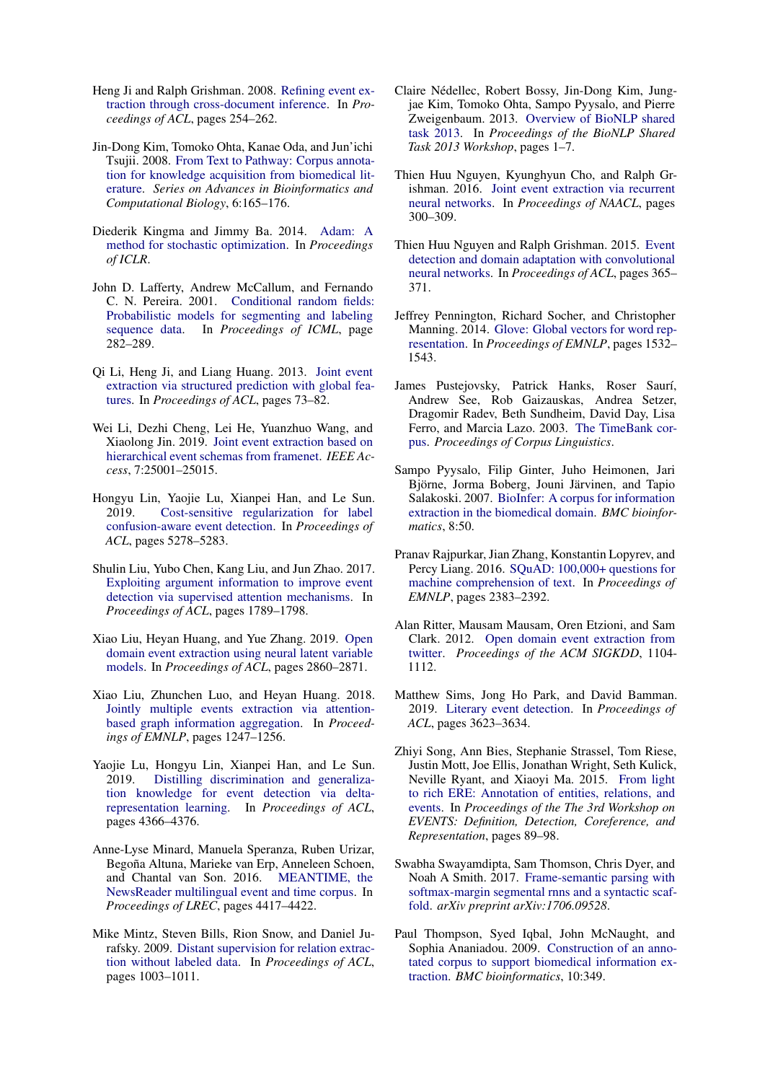- <span id="page-10-0"></span>Heng Ji and Ralph Grishman. 2008. [Refining event ex](http://aclweb.org/anthology/P08-1030)[traction through cross-document inference.](http://aclweb.org/anthology/P08-1030) In *Proceedings of ACL*, pages 254–262.
- <span id="page-10-19"></span>Jin-Dong Kim, Tomoko Ohta, Kanae Oda, and Jun'ichi Tsujii. 2008. [From Text to Pathway: Corpus annota](https://doi.org/10.1142/9781848161092_0019)[tion for knowledge acquisition from biomedical lit](https://doi.org/10.1142/9781848161092_0019)[erature.](https://doi.org/10.1142/9781848161092_0019) *Series on Advances in Bioinformatics and Computational Biology*, 6:165–176.
- <span id="page-10-24"></span>Diederik Kingma and Jimmy Ba. 2014. [Adam: A](https://arxiv.org/abs/1412.6980) [method for stochastic optimization.](https://arxiv.org/abs/1412.6980) In *Proceedings of ICLR*.
- <span id="page-10-14"></span>John D. Lafferty, Andrew McCallum, and Fernando C. N. Pereira. 2001. [Conditional random fields:](https://doi.org/10.5555/645530.655813) [Probabilistic models for segmenting and labeling](https://doi.org/10.5555/645530.655813) [sequence data.](https://doi.org/10.5555/645530.655813) In *Proceedings of ICML*, page 282–289.
- <span id="page-10-1"></span>Qi Li, Heng Ji, and Liang Huang. 2013. [Joint event](http://aclweb.org/anthology/P13-1008) [extraction via structured prediction with global fea](http://aclweb.org/anthology/P13-1008)[tures.](http://aclweb.org/anthology/P13-1008) In *Proceedings of ACL*, pages 73–82.
- <span id="page-10-7"></span>Wei Li, Dezhi Cheng, Lei He, Yuanzhuo Wang, and Xiaolong Jin. 2019. [Joint event extraction based on](https://ieeexplore.ieee.org/document/8643786) [hierarchical event schemas from framenet.](https://ieeexplore.ieee.org/document/8643786) *IEEE Access*, 7:25001–25015.
- <span id="page-10-11"></span>Hongyu Lin, Yaojie Lu, Xianpei Han, and Le Sun. 2019. [Cost-sensitive regularization for label](https://doi.org/10.18653/v1/P19-1521) [confusion-aware event detection.](https://doi.org/10.18653/v1/P19-1521) In *Proceedings of ACL*, pages 5278–5283.
- <span id="page-10-4"></span>Shulin Liu, Yubo Chen, Kang Liu, and Jun Zhao. 2017. [Exploiting argument information to improve event](https://doi.org/10.18653/v1/P17-1164) [detection via supervised attention mechanisms.](https://doi.org/10.18653/v1/P17-1164) In *Proceedings of ACL*, pages 1789–1798.
- <span id="page-10-17"></span>Xiao Liu, Heyan Huang, and Yue Zhang. 2019. [Open](https://doi.org/10.18653/v1/P19-1276) [domain event extraction using neural latent variable](https://doi.org/10.18653/v1/P19-1276) [models.](https://doi.org/10.18653/v1/P19-1276) In *Proceedings of ACL*, pages 2860–2871.
- <span id="page-10-13"></span>Xiao Liu, Zhunchen Luo, and Heyan Huang. 2018. [Jointly multiple events extraction via attention](https://doi.org/10.18653/v1/D18-1156)[based graph information aggregation.](https://doi.org/10.18653/v1/D18-1156) In *Proceedings of EMNLP*, pages 1247–1256.
- <span id="page-10-12"></span>Yaojie Lu, Hongyu Lin, Xianpei Han, and Le Sun. 2019. [Distilling discrimination and generaliza](https://doi.org/10.18653/v1/P19-1429)[tion knowledge for event detection via delta](https://doi.org/10.18653/v1/P19-1429)[representation learning.](https://doi.org/10.18653/v1/P19-1429) In *Proceedings of ACL*, pages 4366–4376.
- <span id="page-10-15"></span>Anne-Lyse Minard, Manuela Speranza, Ruben Urizar, Begoña Altuna, Marieke van Erp, Anneleen Schoen, and Chantal van Son. 2016. [MEANTIME, the](https://www.aclweb.org/anthology/L16-1699) [NewsReader multilingual event and time corpus.](https://www.aclweb.org/anthology/L16-1699) In *Proceedings of LREC*, pages 4417–4422.
- <span id="page-10-6"></span>Mike Mintz, Steven Bills, Rion Snow, and Daniel Jurafsky. 2009. [Distant supervision for relation extrac](https://www.aclweb.org/anthology/P09-1113)[tion without labeled data.](https://www.aclweb.org/anthology/P09-1113) In *Proceedings of ACL*, pages 1003–1011.
- <span id="page-10-21"></span>Claire Nedellec, Robert Bossy, Jin-Dong Kim, Jung- ´ jae Kim, Tomoko Ohta, Sampo Pyysalo, and Pierre Zweigenbaum. 2013. [Overview of BioNLP shared](https://www.aclweb.org/anthology/W13-2001) [task 2013.](https://www.aclweb.org/anthology/W13-2001) In *Proceedings of the BioNLP Shared Task 2013 Workshop*, pages 1–7.
- <span id="page-10-3"></span>Thien Huu Nguyen, Kyunghyun Cho, and Ralph Grishman. 2016. [Joint event extraction via recurrent](https://doi.org/10.18653/v1/N16-1034) [neural networks.](https://doi.org/10.18653/v1/N16-1034) In *Proceedings of NAACL*, pages 300–309.
- <span id="page-10-2"></span>Thien Huu Nguyen and Ralph Grishman. 2015. [Event](https://doi.org/10.3115/v1/P15-2060) [detection and domain adaptation with convolutional](https://doi.org/10.3115/v1/P15-2060) [neural networks.](https://doi.org/10.3115/v1/P15-2060) In *Proceedings of ACL*, pages 365– 371.
- <span id="page-10-10"></span>Jeffrey Pennington, Richard Socher, and Christopher Manning. 2014. [Glove: Global vectors for word rep](https://doi.org/10.3115/v1/D14-1162)[resentation.](https://doi.org/10.3115/v1/D14-1162) In *Proceedings of EMNLP*, pages 1532– 1543.
- <span id="page-10-23"></span>James Pustejovsky, Patrick Hanks, Roser Saurí, Andrew See, Rob Gaizauskas, Andrea Setzer, Dragomir Radev, Beth Sundheim, David Day, Lisa Ferro, and Marcia Lazo. 2003. [The TimeBank cor](http://ucrel.lancs.ac.uk/publications/cl2003/papers/pustejovsky.pdf)[pus.](http://ucrel.lancs.ac.uk/publications/cl2003/papers/pustejovsky.pdf) *Proceedings of Corpus Linguistics*.
- <span id="page-10-18"></span>Sampo Pyysalo, Filip Ginter, Juho Heimonen, Jari Björne, Jorma Boberg, Jouni Järvinen, and Tapio Salakoski. 2007. [BioInfer: A corpus for information](https://doi.org/10.1186/1471-2105-8-50) [extraction in the biomedical domain.](https://doi.org/10.1186/1471-2105-8-50) *BMC bioinformatics*, 8:50.
- <span id="page-10-8"></span>Pranav Rajpurkar, Jian Zhang, Konstantin Lopyrev, and Percy Liang. 2016. [SQuAD: 100,000+ questions for](https://doi.org/10.18653/v1/D16-1264) [machine comprehension of text.](https://doi.org/10.18653/v1/D16-1264) In *Proceedings of EMNLP*, pages 2383–2392.
- <span id="page-10-22"></span>Alan Ritter, Mausam Mausam, Oren Etzioni, and Sam Clark. 2012. [Open domain event extraction from](https://doi.org/10.1145/2339530.2339704) [twitter.](https://doi.org/10.1145/2339530.2339704) *Proceedings of the ACM SIGKDD*, 1104- 1112.
- <span id="page-10-16"></span>Matthew Sims, Jong Ho Park, and David Bamman. 2019. [Literary event detection.](https://doi.org/10.18653/v1/P19-1353) In *Proceedings of ACL*, pages 3623–3634.
- <span id="page-10-5"></span>Zhiyi Song, Ann Bies, Stephanie Strassel, Tom Riese, Justin Mott, Joe Ellis, Jonathan Wright, Seth Kulick, Neville Ryant, and Xiaoyi Ma. 2015. [From light](https://doi.org/10.3115/v1/W15-0812) [to rich ERE: Annotation of entities, relations, and](https://doi.org/10.3115/v1/W15-0812) [events.](https://doi.org/10.3115/v1/W15-0812) In *Proceedings of the The 3rd Workshop on EVENTS: Definition, Detection, Coreference, and Representation*, pages 89–98.
- <span id="page-10-9"></span>Swabha Swayamdipta, Sam Thomson, Chris Dyer, and Noah A Smith. 2017. [Frame-semantic parsing with](https://arxiv.org/abs/1706.09528) [softmax-margin segmental rnns and a syntactic scaf](https://arxiv.org/abs/1706.09528)[fold.](https://arxiv.org/abs/1706.09528) *arXiv preprint arXiv:1706.09528*.
- <span id="page-10-20"></span>Paul Thompson, Syed Iqbal, John McNaught, and Sophia Ananiadou. 2009. [Construction of an anno](https://doi.org/10.1186/1471-2105-10-349)[tated corpus to support biomedical information ex](https://doi.org/10.1186/1471-2105-10-349)[traction.](https://doi.org/10.1186/1471-2105-10-349) *BMC bioinformatics*, 10:349.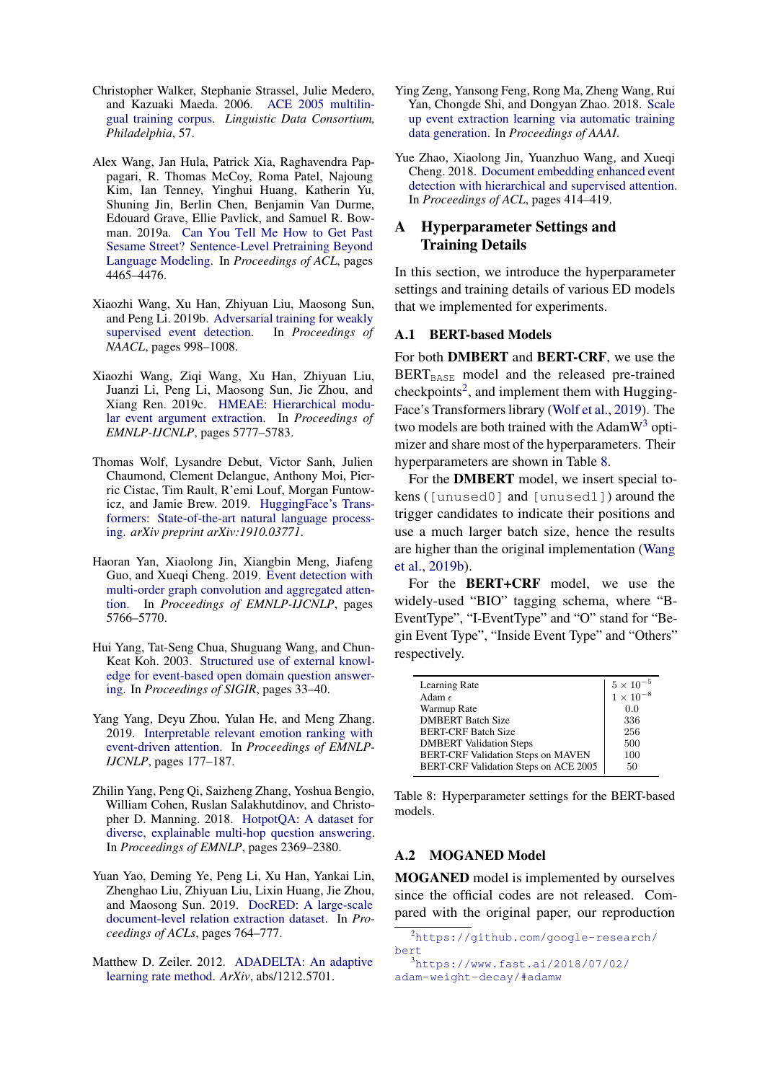- <span id="page-11-4"></span>Christopher Walker, Stephanie Strassel, Julie Medero, and Kazuaki Maeda. 2006. [ACE 2005 multilin](https://catalog.ldc.upenn.edu/LDC2006T06)[gual training corpus.](https://catalog.ldc.upenn.edu/LDC2006T06) *Linguistic Data Consortium, Philadelphia*, 57.
- <span id="page-11-11"></span>Alex Wang, Jan Hula, Patrick Xia, Raghavendra Pappagari, R. Thomas McCoy, Roma Patel, Najoung Kim, Ian Tenney, Yinghui Huang, Katherin Yu, Shuning Jin, Berlin Chen, Benjamin Van Durme, Edouard Grave, Ellie Pavlick, and Samuel R. Bowman. 2019a. [Can You Tell Me How to Get Past](https://doi.org/10.18653/v1/P19-1439) [Sesame Street? Sentence-Level Pretraining Beyond](https://doi.org/10.18653/v1/P19-1439) [Language Modeling.](https://doi.org/10.18653/v1/P19-1439) In *Proceedings of ACL*, pages 4465–4476.
- <span id="page-11-6"></span>Xiaozhi Wang, Xu Han, Zhiyuan Liu, Maosong Sun, and Peng Li. 2019b. [Adversarial training for weakly](https://doi.org/10.18653/v1/N19-1105)<br>supervised event detection. In Proceedings of [supervised event detection.](https://doi.org/10.18653/v1/N19-1105) *NAACL*, pages 998–1008.
- <span id="page-11-10"></span>Xiaozhi Wang, Ziqi Wang, Xu Han, Zhiyuan Liu, Juanzi Li, Peng Li, Maosong Sun, Jie Zhou, and Xiang Ren. 2019c. [HMEAE: Hierarchical modu](https://doi.org/10.18653/v1/D19-1584)[lar event argument extraction.](https://doi.org/10.18653/v1/D19-1584) In *Proceedings of EMNLP-IJCNLP*, pages 5777–5783.
- <span id="page-11-13"></span>Thomas Wolf, Lysandre Debut, Victor Sanh, Julien Chaumond, Clement Delangue, Anthony Moi, Pierric Cistac, Tim Rault, R'emi Louf, Morgan Funtowicz, and Jamie Brew. 2019. [HuggingFace's Trans](https://arxiv.org/abs/1910.03771)[formers: State-of-the-art natural language process](https://arxiv.org/abs/1910.03771)[ing.](https://arxiv.org/abs/1910.03771) *arXiv preprint arXiv:1910.03771*.
- <span id="page-11-3"></span>Haoran Yan, Xiaolong Jin, Xiangbin Meng, Jiafeng Guo, and Xueqi Cheng. 2019. [Event detection with](https://doi.org/10.18653/v1/D19-1582) [multi-order graph convolution and aggregated atten](https://doi.org/10.18653/v1/D19-1582)[tion.](https://doi.org/10.18653/v1/D19-1582) In *Proceedings of EMNLP-IJCNLP*, pages 5766–5770.
- <span id="page-11-0"></span>Hui Yang, Tat-Seng Chua, Shuguang Wang, and Chun-Keat Koh. 2003. [Structured use of external knowl](https://doi.org/10.1145/860435.860444)[edge for event-based open domain question answer](https://doi.org/10.1145/860435.860444)[ing.](https://doi.org/10.1145/860435.860444) In *Proceedings of SIGIR*, pages 33–40.
- <span id="page-11-1"></span>Yang Yang, Deyu Zhou, Yulan He, and Meng Zhang. 2019. [Interpretable relevant emotion ranking with](https://doi.org/10.18653/v1/D19-1017) [event-driven attention.](https://doi.org/10.18653/v1/D19-1017) In *Proceedings of EMNLP-IJCNLP*, pages 177–187.
- <span id="page-11-7"></span>Zhilin Yang, Peng Qi, Saizheng Zhang, Yoshua Bengio, William Cohen, Ruslan Salakhutdinov, and Christopher D. Manning. 2018. [HotpotQA: A dataset for](https://doi.org/10.18653/v1/D18-1259) [diverse, explainable multi-hop question answering.](https://doi.org/10.18653/v1/D18-1259) In *Proceedings of EMNLP*, pages 2369–2380.
- <span id="page-11-8"></span>Yuan Yao, Deming Ye, Peng Li, Xu Han, Yankai Lin, Zhenghao Liu, Zhiyuan Liu, Lixin Huang, Jie Zhou, and Maosong Sun. 2019. [DocRED: A large-scale](https://doi.org/10.18653/v1/P19-1074) [document-level relation extraction dataset.](https://doi.org/10.18653/v1/P19-1074) In *Proceedings of ACLs*, pages 764–777.
- <span id="page-11-16"></span>Matthew D. Zeiler. 2012. [ADADELTA: An adaptive](https://arxiv.org/abs/1212.5701) [learning rate method.](https://arxiv.org/abs/1212.5701) *ArXiv*, abs/1212.5701.
- <span id="page-11-5"></span>Ying Zeng, Yansong Feng, Rong Ma, Zheng Wang, Rui Yan, Chongde Shi, and Dongyan Zhao. 2018. [Scale](https://www.aaai.org/ocs/index.php/AAAI/AAAI18/paper/viewFile/16119/16173) [up event extraction learning via automatic training](https://www.aaai.org/ocs/index.php/AAAI/AAAI18/paper/viewFile/16119/16173) [data generation.](https://www.aaai.org/ocs/index.php/AAAI/AAAI18/paper/viewFile/16119/16173) In *Proceedings of AAAI*.
- <span id="page-11-2"></span>Yue Zhao, Xiaolong Jin, Yuanzhuo Wang, and Xueqi Cheng. 2018. [Document embedding enhanced event](https://doi.org/10.18653/v1/P18-2066) [detection with hierarchical and supervised attention.](https://doi.org/10.18653/v1/P18-2066) In *Proceedings of ACL*, pages 414–419.

# <span id="page-11-9"></span>A Hyperparameter Settings and Training Details

In this section, we introduce the hyperparameter settings and training details of various ED models that we implemented for experiments.

# A.1 BERT-based Models

For both DMBERT and BERT-CRF, we use the  $BERT<sub>BASE</sub>$  model and the released pre-trained checkpoints<sup>[2](#page-11-12)</sup>, and implement them with Hugging-Face's Transformers library [\(Wolf et al.,](#page-11-13) [2019\)](#page-11-13). The two models are both trained with the  $AdamW^3$  $AdamW^3$  optimizer and share most of the hyperparameters. Their hyperparameters are shown in Table [8.](#page-11-15)

For the DMBERT model, we insert special tokens ([unused0] and [unused1]) around the trigger candidates to indicate their positions and use a much larger batch size, hence the results are higher than the original implementation [\(Wang](#page-11-6) [et al.,](#page-11-6) [2019b\)](#page-11-6).

For the BERT+CRF model, we use the widely-used "BIO" tagging schema, where "B-EventType", "I-EventType" and "O" stand for "Begin Event Type", "Inside Event Type" and "Others" respectively.

<span id="page-11-15"></span>

| Learning Rate                         | $\begin{array}{c} 5\times 10^{-5}\\ 1\times 10^{-8} \end{array}$ |
|---------------------------------------|------------------------------------------------------------------|
| Adam $\epsilon$                       |                                                                  |
| Warmup Rate                           | 0.0                                                              |
| <b>DMBERT Batch Size</b>              | 336                                                              |
| <b>BERT-CRF Batch Size</b>            | 256                                                              |
| <b>DMBERT</b> Validation Steps        | 500                                                              |
| BERT-CRF Validation Steps on MAVEN    | 100                                                              |
| BERT-CRF Validation Steps on ACE 2005 | 50                                                               |

Table 8: Hyperparameter settings for the BERT-based models.

# A.2 MOGANED Model

MOGANED model is implemented by ourselves since the official codes are not released. Compared with the original paper, our reproduction

<span id="page-11-12"></span><sup>2</sup>[https://github.com/google-research/](https://github.com/google-research/bert) [bert](https://github.com/google-research/bert)

<span id="page-11-14"></span><sup>3</sup>[https://www.fast.ai/2018/07/02/](https://www.fast.ai/2018/07/02/adam-weight-decay/#adamw) [adam-weight-decay/#adamw](https://www.fast.ai/2018/07/02/adam-weight-decay/#adamw)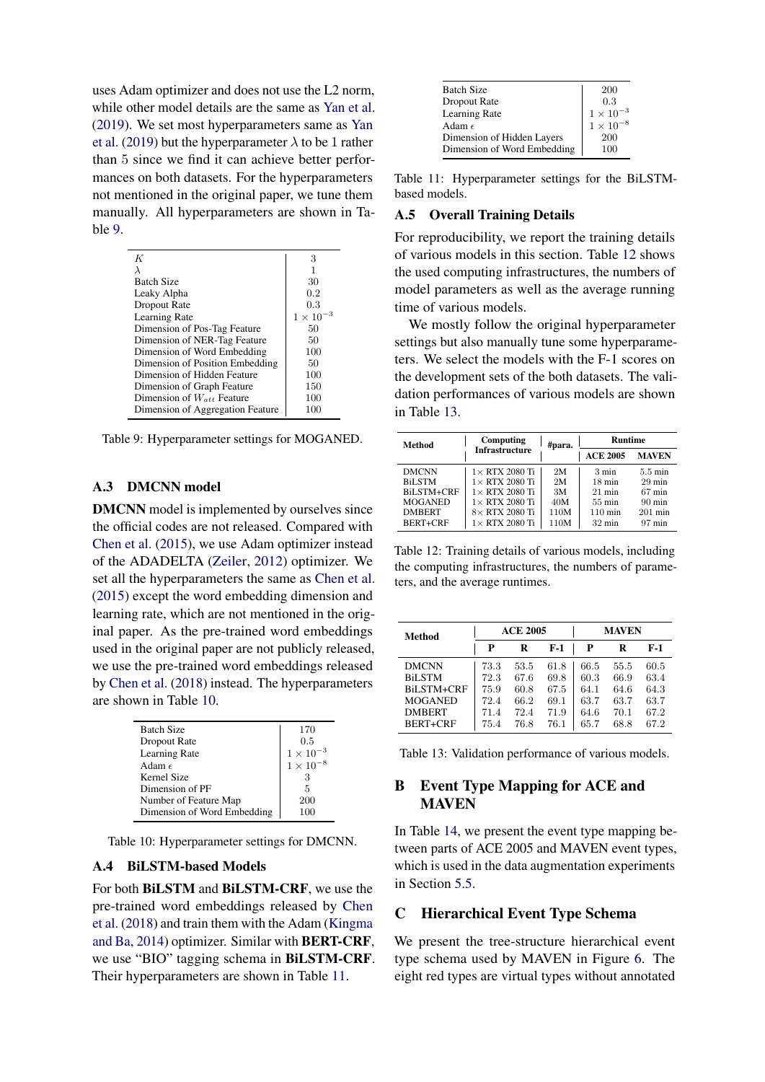uses Adam optimizer and does not use the L2 norm, while other model details are the same as [Yan et al.](#page-11-3) [\(2019\)](#page-11-3). We set most hyperparameters same as [Yan](#page-11-3) [et al.](#page-11-3) [\(2019\)](#page-11-3) but the hyperparameter  $\lambda$  to be 1 rather than 5 since we find it can achieve better performances on both datasets. For the hyperparameters not mentioned in the original paper, we tune them manually. All hyperparameters are shown in Table [9.](#page-12-2)

<span id="page-12-2"></span>

| K                                | 3             |
|----------------------------------|---------------|
|                                  |               |
| <b>Batch Size</b>                | 30            |
| Leaky Alpha                      | 0.2           |
| Dropout Rate                     | 0.3           |
| Learning Rate                    | $1 \times 10$ |
| Dimension of Pos-Tag Feature     | 50            |
| Dimension of NER-Tag Feature     | 50            |
| Dimension of Word Embedding      | 100           |
| Dimension of Position Embedding  | 50            |
| Dimension of Hidden Feature      | 100           |
| Dimension of Graph Feature       | 150           |
| Dimension of $W_{att}$ Feature   | 100           |
| Dimension of Aggregation Feature | 100           |

Table 9: Hyperparameter settings for MOGANED.

# A.3 DMCNN model

DMCNN model is implemented by ourselves since the official codes are not released. Compared with [Chen et al.](#page-9-2) [\(2015\)](#page-9-2), we use Adam optimizer instead of the ADADELTA [\(Zeiler,](#page-11-16) [2012\)](#page-11-16) optimizer. We set all the hyperparameters the same as [Chen et al.](#page-9-2) [\(2015\)](#page-9-2) except the word embedding dimension and learning rate, which are not mentioned in the original paper. As the pre-trained word embeddings used in the original paper are not publicly released, we use the pre-trained word embeddings released by [Chen et al.](#page-9-5) [\(2018\)](#page-9-5) instead. The hyperparameters are shown in Table [10.](#page-12-3)

<span id="page-12-3"></span>

| <b>Batch Size</b>           | 170                                                              |
|-----------------------------|------------------------------------------------------------------|
| Dropout Rate                | 0.5                                                              |
| Learning Rate               | $\begin{array}{l} 1\times 10^{-3}\\ 1\times 10^{-8} \end{array}$ |
| Adam $\epsilon$             |                                                                  |
| Kernel Size                 | З                                                                |
| Dimension of PF             | 5                                                                |
| Number of Feature Map       | 200                                                              |
| Dimension of Word Embedding |                                                                  |

Table 10: Hyperparameter settings for DMCNN.

### A.4 BiLSTM-based Models

For both BiLSTM and BiLSTM-CRF, we use the pre-trained word embeddings released by [Chen](#page-9-5) [et al.](#page-9-5) [\(2018\)](#page-9-5) and train them with the Adam [\(Kingma](#page-10-24) [and Ba,](#page-10-24) [2014\)](#page-10-24) optimizer. Similar with BERT-CRF, we use "BIO" tagging schema in BiLSTM-CRF. Their hyperparameters are shown in Table [11.](#page-12-4)

<span id="page-12-4"></span>

| <b>Batch Size</b>           | 200                |
|-----------------------------|--------------------|
| Dropout Rate                | 0.3                |
| Learning Rate               | $1 \times 10^{-3}$ |
| Adam $\epsilon$             | $1\times10^{-8}$   |
| Dimension of Hidden Layers  | 200                |
| Dimension of Word Embedding | 100                |

Table 11: Hyperparameter settings for the BiLSTMbased models.

#### A.5 Overall Training Details

For reproducibility, we report the training details of various models in this section. Table [12](#page-12-5) shows the used computing infrastructures, the numbers of model parameters as well as the average running time of various models.

We mostly follow the original hyperparameter settings but also manually tune some hyperparameters. We select the models with the F-1 scores on the development sets of the both datasets. The validation performances of various models are shown in Table [13.](#page-12-6)

<span id="page-12-5"></span>

| <b>Method</b>     | Computing              | #para. | <b>Runtime</b>    |                   |
|-------------------|------------------------|--------|-------------------|-------------------|
|                   | <b>Infrastructure</b>  |        | <b>ACE 2005</b>   | <b>MAVEN</b>      |
| <b>DMCNN</b>      | $1\times$ RTX 2080 Ti  | 2M     | $3 \text{ min}$   | $5.5 \text{ min}$ |
| <b>BiLSTM</b>     | $1\times$ RTX 2080 Ti  | 2M     | $18 \text{ min}$  | $29$ min          |
| <b>BiLSTM+CRF</b> | $1 \times$ RTX 2080 Ti | 3M     | $21$ min          | $67 \text{ min}$  |
| <b>MOGANED</b>    | $1\times$ RTX 2080 Ti  | 40M    | $55 \text{ min}$  | $90 \text{ min}$  |
| <b>DMBERT</b>     | $8\times$ RTX 2080 Ti  | 110M   | $110 \text{ min}$ | $201$ min         |
| BERT+CRF          | $1\times$ RTX 2080 Ti  | 110M   | $32 \text{ min}$  | $97 \text{ min}$  |

Table 12: Training details of various models, including the computing infrastructures, the numbers of parameters, and the average runtimes.

<span id="page-12-6"></span>

| <b>Method</b>     | <b>ACE 2005</b> |      |       | <b>MAVEN</b> |      |      |
|-------------------|-----------------|------|-------|--------------|------|------|
|                   | P               | R    | $F-1$ | P            | R    | F-1  |
| <b>DMCNN</b>      | 73.3            | 53.5 | 61.8  | 66.5         | 55.5 | 60.5 |
| <b>BiLSTM</b>     | 72.3            | 67.6 | 69.8  | 60.3         | 66.9 | 63.4 |
| <b>BiLSTM+CRF</b> | 75.9            | 60.8 | 67.5  | 64.1         | 64.6 | 64.3 |
| <b>MOGANED</b>    | 72.4            | 66.2 | 69.1  | 63.7         | 63.7 | 63.7 |
| <b>DMBERT</b>     | 71.4            | 72.4 | 71.9  | 64.6         | 70.1 | 67.2 |
| BERT+CRF          | 75.4            | 76.8 | 76.1  | 65.7         | 68.8 | 67.2 |

Table 13: Validation performance of various models.

# <span id="page-12-1"></span>B Event Type Mapping for ACE and **MAVEN**

In Table [14,](#page-13-1) we present the event type mapping between parts of ACE 2005 and MAVEN event types, which is used in the data augmentation experiments in Section [5.5.](#page-7-3)

# <span id="page-12-0"></span>C Hierarchical Event Type Schema

We present the tree-structure hierarchical event type schema used by MAVEN in Figure [6.](#page-14-0) The eight red types are virtual types without annotated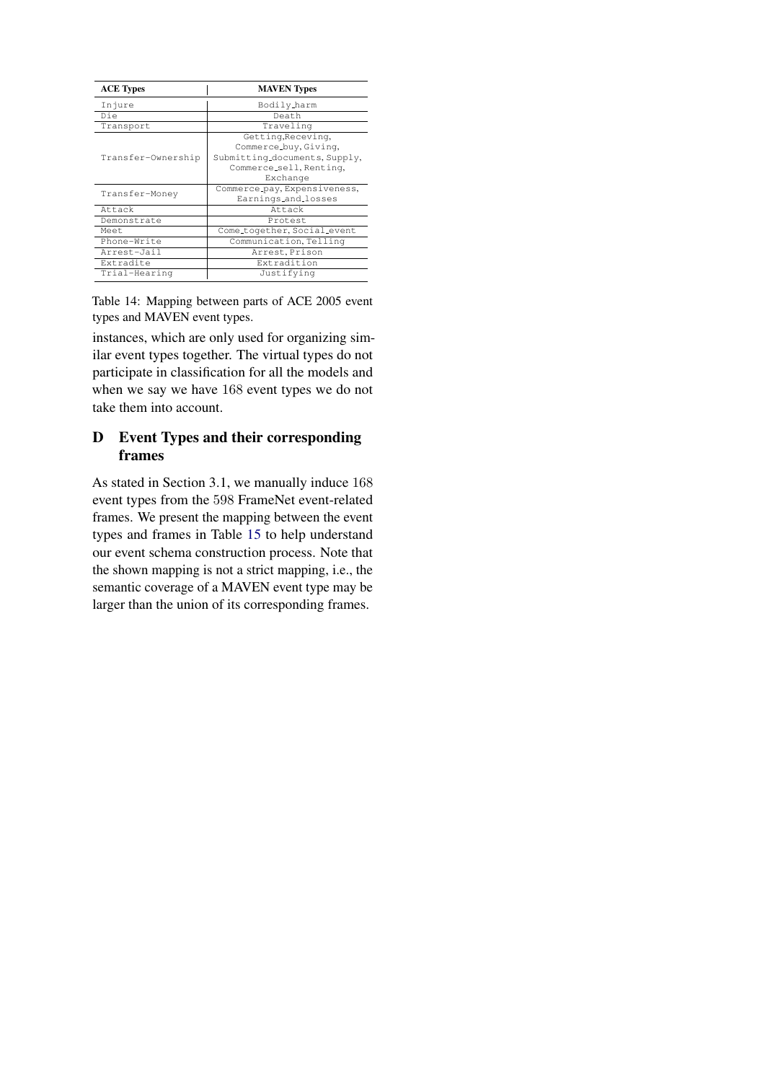<span id="page-13-1"></span>

| <b>ACE Types</b>   | <b>MAVEN</b> Types                                                                                                  |  |
|--------------------|---------------------------------------------------------------------------------------------------------------------|--|
| Injure             | Bodily_harm                                                                                                         |  |
| Die                | Death                                                                                                               |  |
| Transport          | Traveling                                                                                                           |  |
| Transfer-Ownership | Getting, Receving,<br>Commerce_buy, Giving,<br>Submitting_documents, Supply,<br>Commerce_sell, Renting,<br>Exchange |  |
| Transfer-Money     | Commerce_pay, Expensiveness,<br>Earnings_and_losses                                                                 |  |
| Attack             | Attack                                                                                                              |  |
| Demonstrate        | Protest                                                                                                             |  |
| Meet               | Come_together, Social_event                                                                                         |  |
| Phone-Write        | Communication, Telling                                                                                              |  |
| Arrest-Jail        | Arrest, Prison                                                                                                      |  |
| Extradite          | Extradition                                                                                                         |  |
| Trial-Hearing      | Justifying                                                                                                          |  |

Table 14: Mapping between parts of ACE 2005 event types and MAVEN event types.

instances, which are only used for organizing similar event types together. The virtual types do not participate in classification for all the models and when we say we have 168 event types we do not take them into account.

# <span id="page-13-0"></span>D Event Types and their corresponding frames

As stated in Section 3.1, we manually induce 168 event types from the 598 FrameNet event-related frames. We present the mapping between the event types and frames in Table [15](#page-15-0) to help understand our event schema construction process. Note that the shown mapping is not a strict mapping, i.e., the semantic coverage of a MAVEN event type may be larger than the union of its corresponding frames.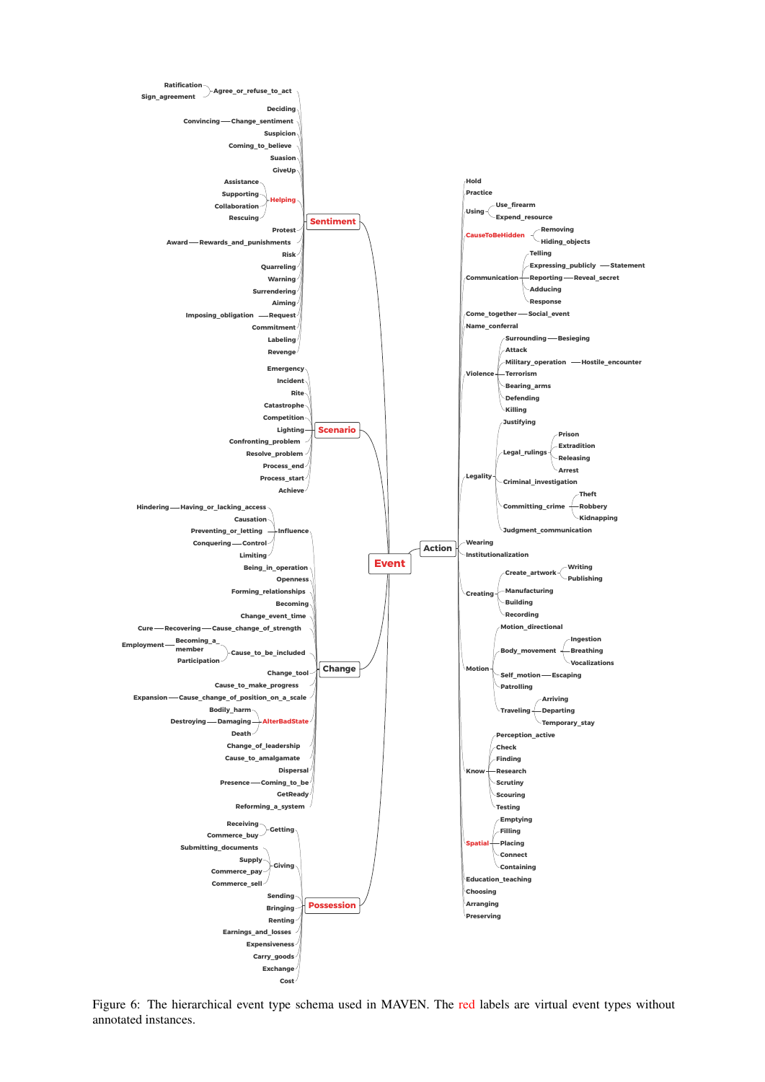<span id="page-14-0"></span>

Figure 6: The hierarchical event type schema used in MAVEN. The red labels are virtual event types without annotated instances.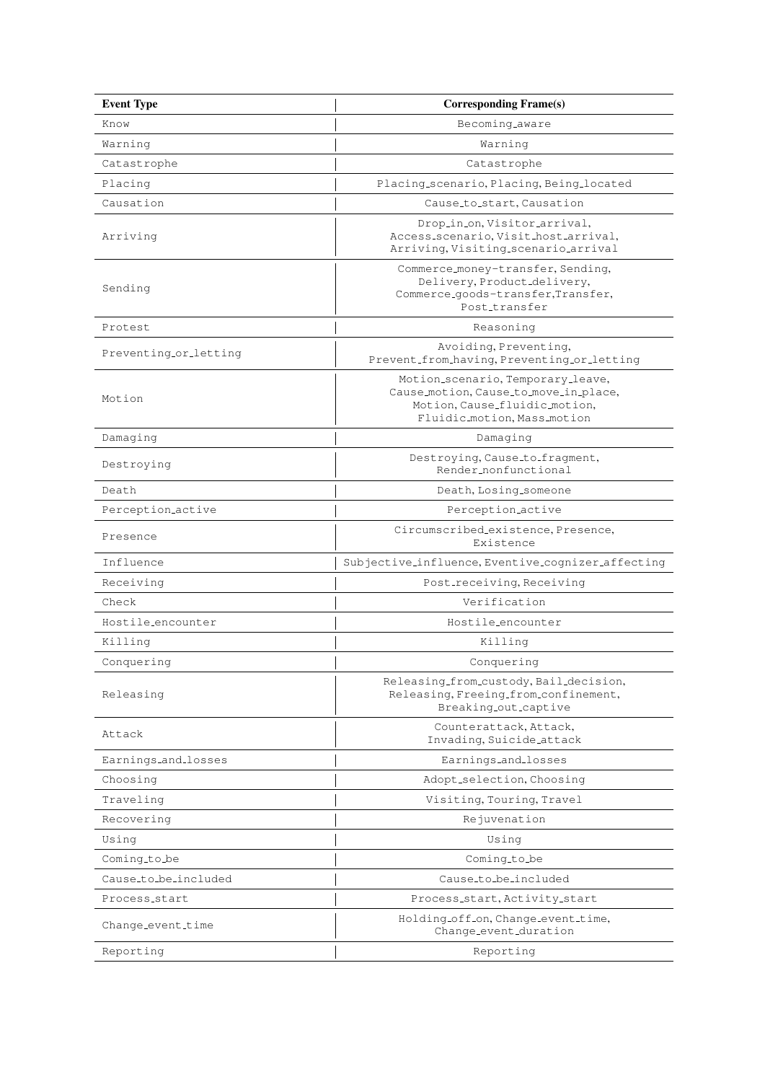<span id="page-15-0"></span>

| <b>Event Type</b>     | <b>Corresponding Frame(s)</b>                                                                                                              |  |
|-----------------------|--------------------------------------------------------------------------------------------------------------------------------------------|--|
| Know                  | Becoming_aware                                                                                                                             |  |
| Warning               | Warning                                                                                                                                    |  |
| Catastrophe           | Catastrophe                                                                                                                                |  |
| Placing               | Placing_scenario, Placing, Being_located                                                                                                   |  |
| Causation             | Cause_to_start, Causation                                                                                                                  |  |
| Arriving              | Drop_in_on, Visitor_arrival,<br>Access_scenario, Visit_host_arrival,<br>Arriving, Visiting_scenario_arrival                                |  |
| Sending               | Commerce_money-transfer, Sending,<br>Delivery, Product_delivery,<br>Commerce_goods-transfer,Transfer,<br>Post_transfer                     |  |
| Protest               | Reasoning                                                                                                                                  |  |
| Preventing_or_letting | Avoiding, Preventing,<br>Prevent_from_having, Preventing_or_letting                                                                        |  |
| Motion                | Motion_scenario, Temporary_leave,<br>Cause_motion, Cause_to_move_in_place,<br>Motion, Cause_fluidic_motion,<br>Fluidic_motion, Mass_motion |  |
| Damaging              | Damaging                                                                                                                                   |  |
| Destroying            | Destroying, Cause_to_fragment,<br>Render_nonfunctional                                                                                     |  |
| Death                 | Death, Losing_someone                                                                                                                      |  |
| Perception_active     | Perception_active                                                                                                                          |  |
| Presence              | Circumscribed_existence, Presence,<br>Existence                                                                                            |  |
| Influence             | Subjective_influence, Eventive_cognizer_affecting                                                                                          |  |
| Receiving             | Post_receiving, Receiving                                                                                                                  |  |
| Check                 | Verification                                                                                                                               |  |
| Hostile_encounter     | Hostile_encounter                                                                                                                          |  |
| Killing               | Killing                                                                                                                                    |  |
| Conquering            | Conquering                                                                                                                                 |  |
| Releasing             | Releasing_from_custody, Bail_decision,<br>Releasing, Freeing_from_confinement,<br>Breaking_out_captive                                     |  |
| Attack                | Counterattack, Attack,<br>Invading, Suicide_attack                                                                                         |  |
| Earnings_and_losses   | Earnings_and_losses                                                                                                                        |  |
| Choosing              | Adopt_selection, Choosing                                                                                                                  |  |
| Traveling             | Visiting, Touring, Travel                                                                                                                  |  |
| Recovering            | Rejuvenation                                                                                                                               |  |
| Using                 | Using                                                                                                                                      |  |
| Coming_to_be          | Coming_to_be                                                                                                                               |  |
| Cause_to_be_included  | Cause_to_be_included                                                                                                                       |  |
| Process_start         | Process_start, Activity_start                                                                                                              |  |
| Change_event_time     | Holding_off_on, Change_event_time,<br>Change_event_duration                                                                                |  |
| Reporting             | Reporting                                                                                                                                  |  |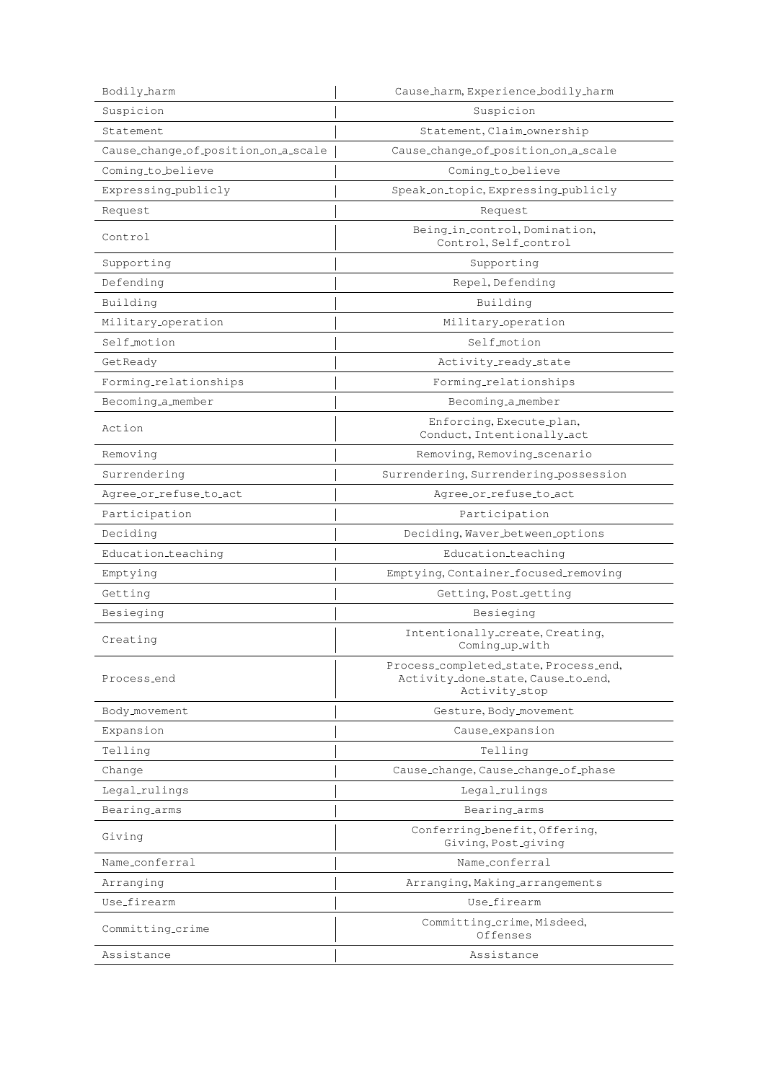| Bodily_harm                         | Cause_harm, Experience_bodily_harm                                                           |  |
|-------------------------------------|----------------------------------------------------------------------------------------------|--|
| Suspicion                           | Suspicion                                                                                    |  |
| Statement                           | Statement, Claim_ownership                                                                   |  |
| Cause_change_of_position_on_a_scale | Cause_change_of_position_on_a_scale                                                          |  |
| Coming_to_believe                   | Coming_to_believe                                                                            |  |
| Expressing_publicly                 | Speak_on_topic, Expressing_publicly                                                          |  |
| Request                             | Request                                                                                      |  |
| Control                             | Being_in_control, Domination,<br>Control, Self_control                                       |  |
| Supporting                          | Supporting                                                                                   |  |
| Defending                           | Repel, Defending                                                                             |  |
| Building                            | Building                                                                                     |  |
| Military_operation                  | Military_operation                                                                           |  |
| Self_motion                         | Self_motion                                                                                  |  |
| GetReady                            | Activity_ready_state                                                                         |  |
| Forming_relationships               | Forming_relationships                                                                        |  |
| Becoming_a_member                   | Becoming_a_member                                                                            |  |
| Action                              | Enforcing, Execute_plan,<br>Conduct, Intentionally_act                                       |  |
| Removing                            | Removing, Removing_scenario                                                                  |  |
| Surrendering                        | Surrendering, Surrendering_possession                                                        |  |
| Agree_or_refuse_to_act              | Agree_or_refuse_to_act                                                                       |  |
| Participation                       | Participation                                                                                |  |
| Deciding                            | Deciding, Waver_between_options                                                              |  |
| Education_teaching                  | Education_teaching                                                                           |  |
| Emptying                            | Emptying, Container_focused_removing                                                         |  |
| Getting                             | Getting, Post_getting                                                                        |  |
| Besieging                           | Besieging                                                                                    |  |
| Creating                            | Intentionally_create, Creating,<br>Coming_up_with                                            |  |
| Process_end                         | Process_completed_state, Process_end,<br>Activity_done_state, Cause_to_end,<br>Activity_stop |  |
| Body_movement                       | Gesture, Body_movement                                                                       |  |
| Expansion                           | Cause_expansion                                                                              |  |
| Telling                             | Telling                                                                                      |  |
| Change                              | Cause_change, Cause_change_of_phase                                                          |  |
| Legal_rulings                       | Legal_rulings                                                                                |  |
| Bearing_arms                        | Bearing_arms                                                                                 |  |
| Giving                              | Conferring_benefit, Offering,<br>Giving, Post_giving                                         |  |
| Name_conferral                      | Name_conferral                                                                               |  |
| Arranging                           | Arranging, Making_arrangements                                                               |  |
| Use_firearm                         | Use_firearm                                                                                  |  |
| Committing_crime                    | Committing_crime, Misdeed,<br>Offenses                                                       |  |
| Assistance                          | Assistance                                                                                   |  |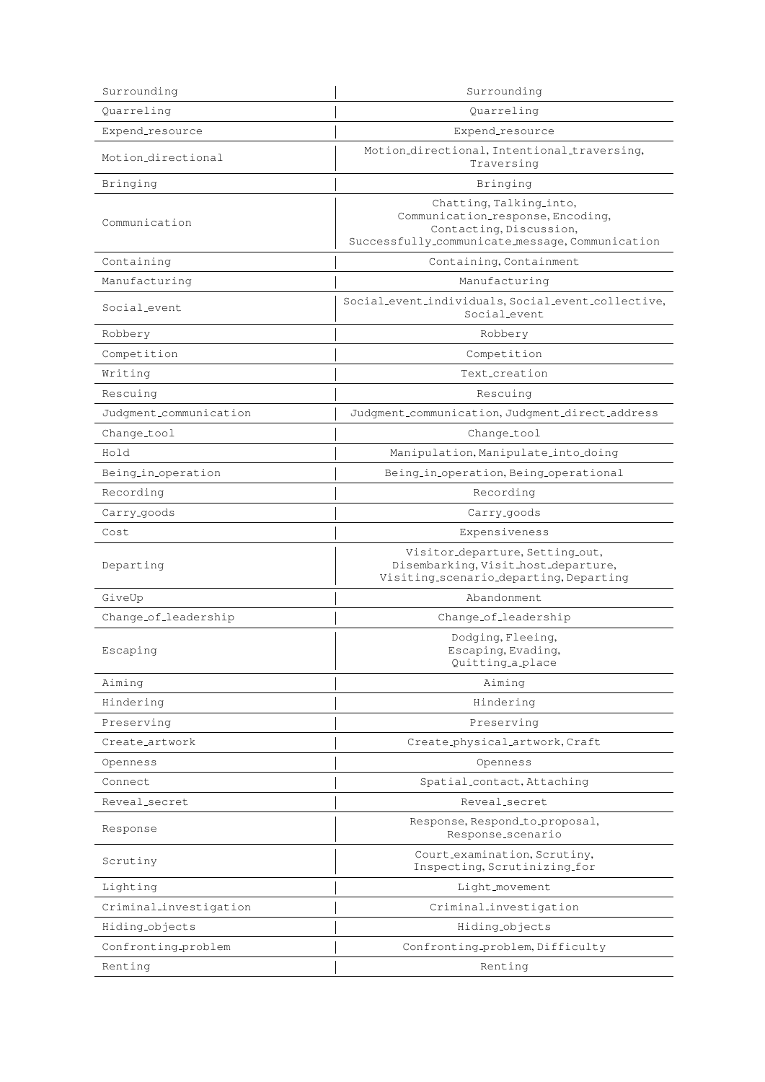| Surrounding             | Surrounding                                                                                                                                |  |
|-------------------------|--------------------------------------------------------------------------------------------------------------------------------------------|--|
| Quarreling              | Quarreling                                                                                                                                 |  |
| Expend_resource         | Expend_resource                                                                                                                            |  |
| Motion directional      | Motion_directional, Intentional_traversing,<br>Traversing                                                                                  |  |
| Bringing                | Bringing                                                                                                                                   |  |
| Communication           | Chatting, Talking_into,<br>Communication_response, Encoding,<br>Contacting, Discussion,<br>Successfully_communicate_message, Communication |  |
| Containing              | Containing, Containment                                                                                                                    |  |
| Manufacturing           | Manufacturing                                                                                                                              |  |
| Social_event            | Social_event_individuals, Social_event_collective,<br>Social_event                                                                         |  |
| Robbery                 | Robbery                                                                                                                                    |  |
| Competition             | Competition                                                                                                                                |  |
| Writing                 | Text_creation                                                                                                                              |  |
| Rescuing                | Rescuing                                                                                                                                   |  |
| Judgment_communication  | Judgment_communication, Judgment_direct_address                                                                                            |  |
| Change_tool             | Change_tool                                                                                                                                |  |
| Hold                    | Manipulation, Manipulate_into_doing                                                                                                        |  |
| Being_in_operation      | Being_in_operation, Being_operational                                                                                                      |  |
| Recording               | Recording                                                                                                                                  |  |
| Carry <sub>-goods</sub> | Carry <sub>-</sub> goods                                                                                                                   |  |
| Cost                    | Expensiveness                                                                                                                              |  |
| Departing               | Visitor <sub>-departure, Setting-out,</sub><br>Disembarking, Visit_host_departure,<br>Visiting_scenario_departing, Departing               |  |
| GiveUp                  | Abandonment.                                                                                                                               |  |
| Change_of_leadership    | Change_of_leadership                                                                                                                       |  |
| Escaping                | Dodging, Fleeing,<br>Escaping, Evading,<br>Quitting_a_place                                                                                |  |
| Aiming                  | Aiming                                                                                                                                     |  |
| Hindering               | Hindering                                                                                                                                  |  |
| Preserving              | Preserving                                                                                                                                 |  |
| Create artwork          | Create_physical_artwork, Craft                                                                                                             |  |
| Openness                | Openness                                                                                                                                   |  |
| Connect                 | Spatial_contact, Attaching                                                                                                                 |  |
| Reveal_secret           | Reveal_secret                                                                                                                              |  |
| Response                | Response, Respond_to_proposal,<br>Response_scenario                                                                                        |  |
| Scrutiny                | Court_examination, Scrutiny,<br>Inspecting, Scrutinizing_for                                                                               |  |
| Lighting                | Light_movement                                                                                                                             |  |
| Criminal_investigation  | Criminal_investigation                                                                                                                     |  |
| Hiding_objects          | Hiding_objects                                                                                                                             |  |
| Confronting_problem     | Confronting_problem, Difficulty                                                                                                            |  |
| Renting                 | Renting                                                                                                                                    |  |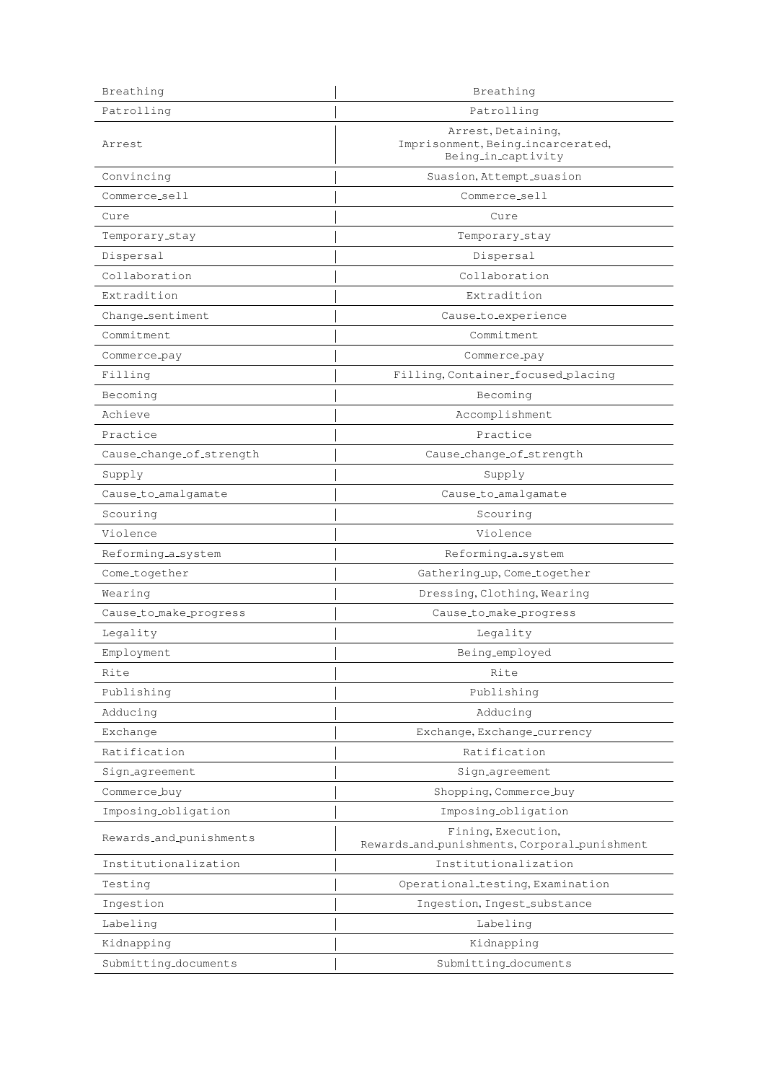| Breathing                | Breathing                                                                     |  |
|--------------------------|-------------------------------------------------------------------------------|--|
| Patrolling               | Patrolling                                                                    |  |
| Arrest                   | Arrest, Detaining,<br>Imprisonment, Being_incarcerated,<br>Being_in_captivity |  |
| Convincing               | Suasion, Attempt_suasion                                                      |  |
| Commerce_sell            | Commerce_sell                                                                 |  |
| Cure                     | Cure                                                                          |  |
| Temporary_stay           | Temporary_stay                                                                |  |
| Dispersal                | Dispersal                                                                     |  |
| Collaboration            | Collaboration                                                                 |  |
| Extradition              | Extradition                                                                   |  |
| Change_sentiment         | Cause_to_experience                                                           |  |
| Commitment               | Commitment                                                                    |  |
| Commerce_pay             | Commerce_pay                                                                  |  |
| Filling                  | Filling, Container_focused_placing                                            |  |
| Becoming                 | Becoming                                                                      |  |
| Achieve                  | Accomplishment                                                                |  |
| Practice                 | Practice                                                                      |  |
| Cause_change_of_strength | Cause_change_of_strength                                                      |  |
| Supply                   | Supply                                                                        |  |
| Cause_to_amalgamate      | Cause_to_amalgamate                                                           |  |
| Scouring                 | Scouring                                                                      |  |
| Violence                 | Violence                                                                      |  |
| Reforming_a_system       | Reforming_a_system                                                            |  |
| Come_together            | Gathering_up, Come_together                                                   |  |
| Wearing                  | Dressing, Clothing, Wearing                                                   |  |
| Cause_to_make_progress   | Cause_to_make_progress                                                        |  |
| Legality                 | Legality                                                                      |  |
| Employment               | Being_employed                                                                |  |
| Rite                     | Rite                                                                          |  |
| Publishing               | Publishing                                                                    |  |
| Adducing                 | Adducing                                                                      |  |
| Exchange                 | Exchange, Exchange_currency                                                   |  |
| Ratification             | Ratification                                                                  |  |
| Sign_agreement           | Sign_agreement                                                                |  |
| Commerce_buy             | Shopping, Commerce_buy                                                        |  |
| Imposing_obligation      | Imposing_obligation                                                           |  |
| Rewards_and_punishments  | Fining, Execution,<br>Rewards_and_punishments, Corporal_punishment            |  |
| Institutionalization     | Institutionalization                                                          |  |
| Testing                  | Operational_testing, Examination                                              |  |
| Ingestion                | Ingestion, Ingest_substance                                                   |  |
| Labeling                 | Labeling                                                                      |  |
| Kidnapping               | Kidnapping                                                                    |  |
| Submitting_documents     | Submitting_documents                                                          |  |